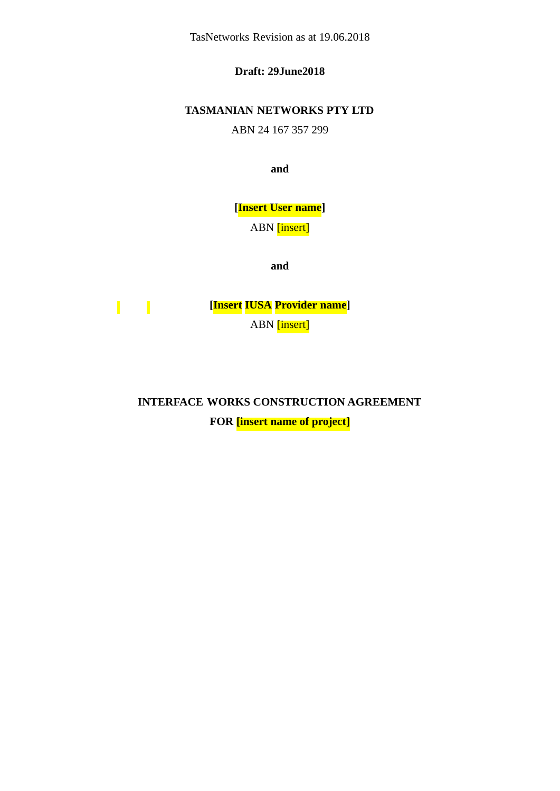TasNetworks Revision as at 19.06.2018

**Draft: 29June2018**

# **TASMANIAN NETWORKS PTY LTD**

ABN 24 167 357 299

**and**

**[Insert User name]**

ABN [insert]

**and**

 $\mathbf{I}$   $\mathbf{I}$ **[Insert IUSA Provider name]** ABN [insert]

**INTERFACE WORKS CONSTRUCTION AGREEMENT**

**FOR [insert name of project]**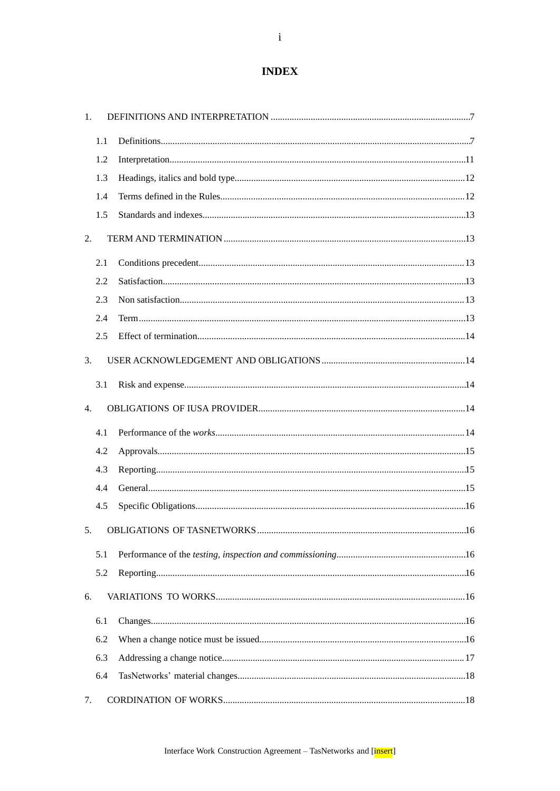# **INDEX**

| 1.          |     |  |
|-------------|-----|--|
|             | 1.1 |  |
|             | 1.2 |  |
|             | 1.3 |  |
|             | 1.4 |  |
|             | 1.5 |  |
| 2.          |     |  |
|             | 2.1 |  |
|             | 2.2 |  |
|             | 2.3 |  |
|             | 2.4 |  |
|             | 2.5 |  |
| 3.          |     |  |
|             | 3.1 |  |
| 4.          |     |  |
|             | 4.1 |  |
|             | 4.2 |  |
|             | 4.3 |  |
|             | 4.4 |  |
|             | 4.5 |  |
| 5.          |     |  |
|             | 5.1 |  |
|             | 5.2 |  |
| 6.          |     |  |
|             | 6.1 |  |
|             | 6.2 |  |
|             | 6.3 |  |
|             | 6.4 |  |
| $7_{\cdot}$ |     |  |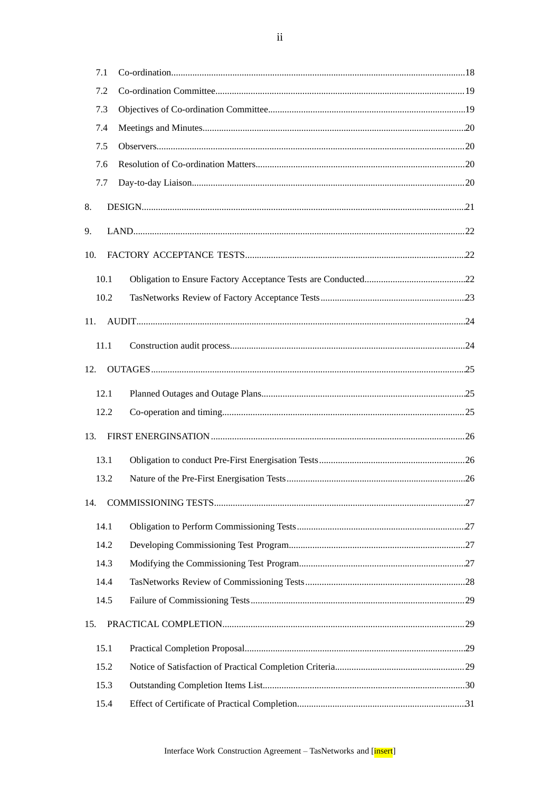|     | 7.1  |  |
|-----|------|--|
|     | 7.2  |  |
|     | 7.3  |  |
|     | 7.4  |  |
|     | 7.5  |  |
|     | 7.6  |  |
|     | 7.7  |  |
| 8.  |      |  |
| 9.  |      |  |
| 10. |      |  |
|     | 10.1 |  |
|     | 10.2 |  |
| 11. |      |  |
|     | 11.1 |  |
| 12. |      |  |
|     | 12.1 |  |
|     | 12.2 |  |
| 13. |      |  |
|     | 13.1 |  |
|     | 13.2 |  |
| 14. |      |  |
|     | 14.1 |  |
|     | 14.2 |  |
|     | 14.3 |  |
|     | 14.4 |  |
|     | 14.5 |  |
| 15. |      |  |
|     | 15.1 |  |
|     | 15.2 |  |
|     | 15.3 |  |
|     | 15.4 |  |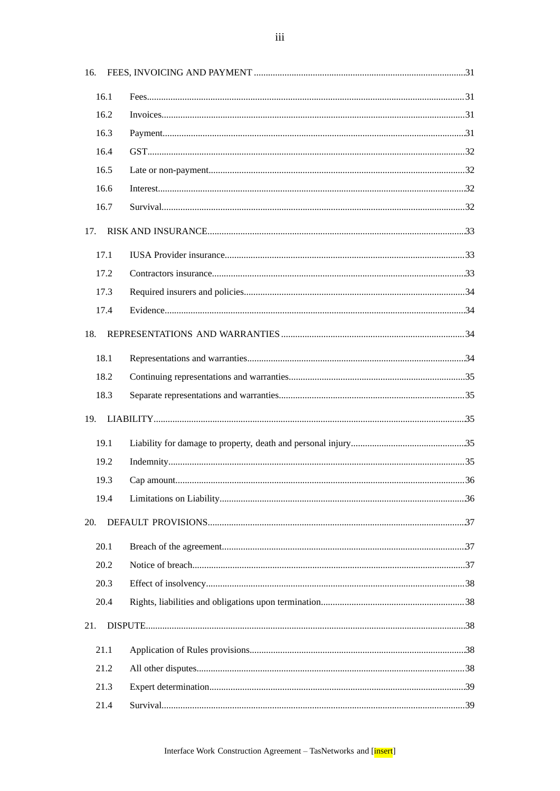| 16. |      |     |
|-----|------|-----|
|     |      |     |
|     | 16.1 |     |
|     | 16.2 |     |
|     | 16.3 |     |
|     | 16.4 |     |
|     | 16.5 |     |
|     | 16.6 |     |
|     | 16.7 |     |
| 17. |      |     |
|     | 17.1 |     |
|     | 17.2 |     |
|     | 17.3 |     |
|     | 17.4 |     |
| 18. |      |     |
|     | 18.1 |     |
|     | 18.2 |     |
|     | 18.3 |     |
|     |      |     |
| 19. |      |     |
|     | 19.1 |     |
|     | 19.2 |     |
|     | 19.3 | 36  |
|     | 19.4 |     |
| 20. |      |     |
|     | 20.1 |     |
|     | 20.2 |     |
|     | 20.3 |     |
|     | 20.4 |     |
| 21. |      |     |
|     |      |     |
|     | 21.1 |     |
|     | 21.2 |     |
|     | 21.3 |     |
|     | 21.4 | .39 |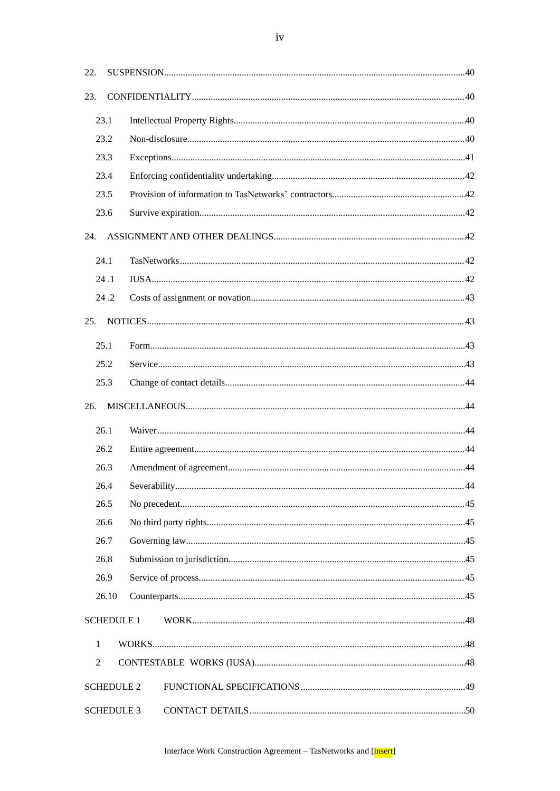| 22.          |                   |  |  |
|--------------|-------------------|--|--|
| 23.          |                   |  |  |
| 23.1         |                   |  |  |
|              | 23.2              |  |  |
|              | 23.3              |  |  |
|              | 23.4              |  |  |
|              | 23.5              |  |  |
|              | 23.6              |  |  |
| 24.          |                   |  |  |
| 24.1         |                   |  |  |
|              | 24.1              |  |  |
|              | 24.2              |  |  |
| 25.          |                   |  |  |
| 25.1         |                   |  |  |
|              | 25.2              |  |  |
|              | 25.3              |  |  |
| 26.          |                   |  |  |
| 26.1         |                   |  |  |
|              | 26.2              |  |  |
|              | 26.3              |  |  |
|              | 26.4              |  |  |
| 26.5         |                   |  |  |
|              | 26.6              |  |  |
|              | 26.7              |  |  |
|              | 26.8              |  |  |
|              | 26.9              |  |  |
|              | 26.10             |  |  |
|              | <b>SCHEDULE 1</b> |  |  |
| $\mathbf{1}$ |                   |  |  |
| 2            |                   |  |  |
|              | <b>SCHEDULE 2</b> |  |  |
|              | <b>SCHEDULE 3</b> |  |  |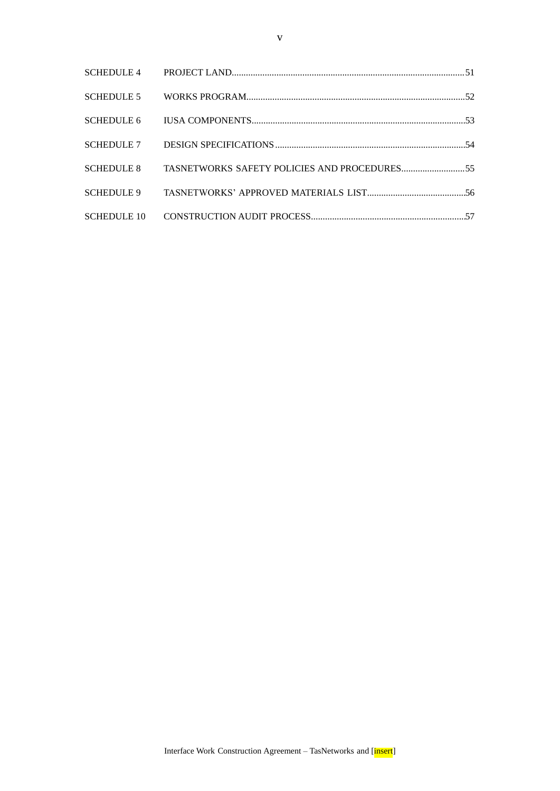| <b>SCHEDULE 5</b> |                                              |  |
|-------------------|----------------------------------------------|--|
| SCHEDULE 6        |                                              |  |
|                   |                                              |  |
| <b>SCHEDULE 8</b> | TASNETWORKS SAFETY POLICIES AND PROCEDURES55 |  |
| <b>SCHEDULE 9</b> |                                              |  |
|                   |                                              |  |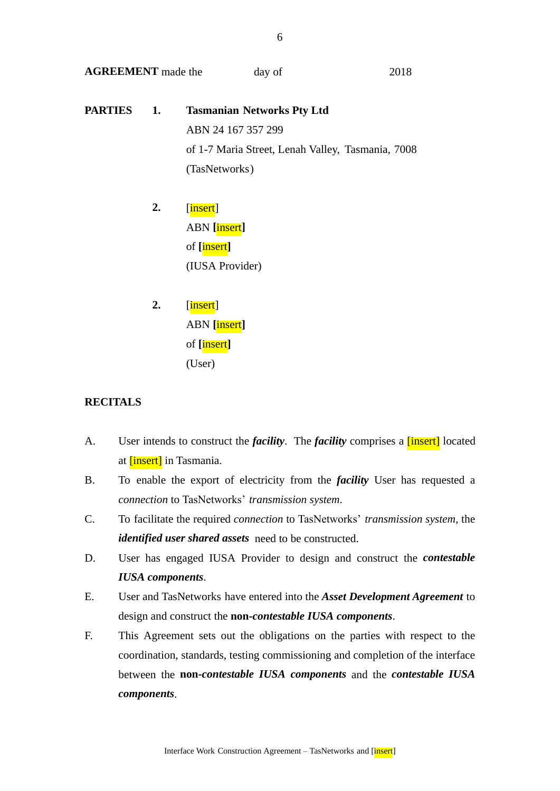**AGREEMENT** made the day of 2018

- **PARTIES 1. Tasmanian Networks Pty Ltd** ABN 24 167 357 299 of 1-7 Maria Street, Lenah Valley, Tasmania, 7008 (TasNetworks)
	- **2.** [insert] ABN **[**insert**]** of **[**insert**]** (IUSA Provider)
	- **2.** [insert] ABN **[**insert**]** of **[**insert**]** (User)

## **RECITALS**

- A. User intends to construct the *facility*. The *facility* comprises a [insert] located at [insert] in Tasmania.
- B. To enable the export of electricity from the *facility* User has requested a *connection* to TasNetworks' *transmission system*.
- C. To facilitate the required *connection* to TasNetworks' *transmission system,* the *identified user shared assets* need to be constructed.
- D. User has engaged IUSA Provider to design and construct the *contestable IUSA components*.
- E. User and TasNetworks have entered into the *Asset Development Agreement* to design and construct the **non-***contestable IUSA components*.
- F. This Agreement sets out the obligations on the parties with respect to the coordination, standards, testing commissioning and completion of the interface between the **non-***contestable IUSA components* and the *contestable IUSA components*.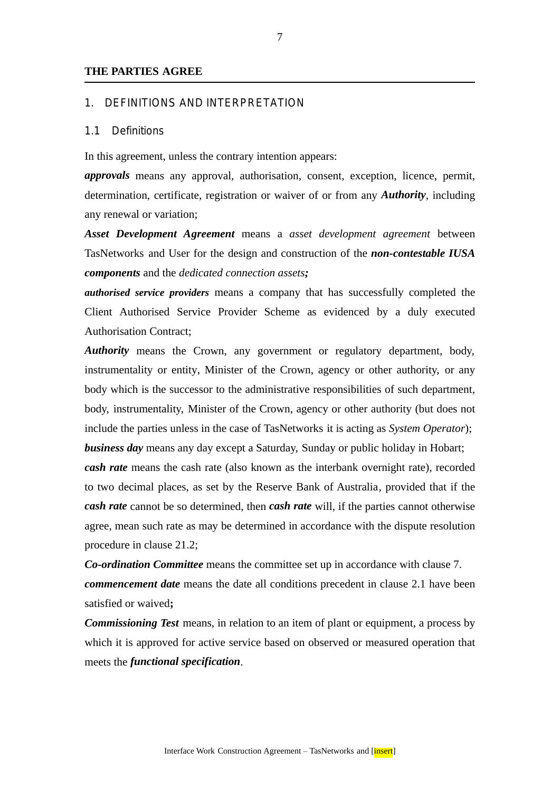#### **THE PARTIES AGREE**

#### 1. DEFINITIONS AND INTERPRETATION

#### 1.1 Definitions

In this agreement, unless the contrary intention appears:

*approvals* means any approval, authorisation, consent, exception, licence, permit, determination, certificate, registration or waiver of or from any *Authority*, including any renewal or variation;

*Asset Development Agreement* means a *asset development agreement* between TasNetworks and User for the design and construction of the *non-contestable IUSA components* and the *dedicated connection assets;*

*authorised service providers* means a company that has successfully completed the Client Authorised Service Provider Scheme as evidenced by a duly executed Authorisation Contract;

*Authority* means the Crown, any government or regulatory department, body, instrumentality or entity, Minister of the Crown, agency or other authority, or any body which is the successor to the administrative responsibilities of such department, body, instrumentality, Minister of the Crown, agency or other authority (but does not include the parties unless in the case of TasNetworks it is acting as *System Operator*); *business day* means any day except a Saturday, Sunday or public holiday in Hobart;

*cash rate* means the cash rate (also known as the interbank overnight rate), recorded to two decimal places, as set by the Reserve Bank of Australia, provided that if the *cash rate* cannot be so determined, then *cash rate* will, if the parties cannot otherwise agree, mean such rate as may be determined in accordance with the dispute resolution procedure in clause 21.2;

*Co-ordination Committee* means the committee set up in accordance with clause 7. *commencement date* means the date all conditions precedent in clause 2.1 have been satisfied or waived**;**

*Commissioning Test* means, in relation to an item of plant or equipment, a process by which it is approved for active service based on observed or measured operation that meets the *functional specification*.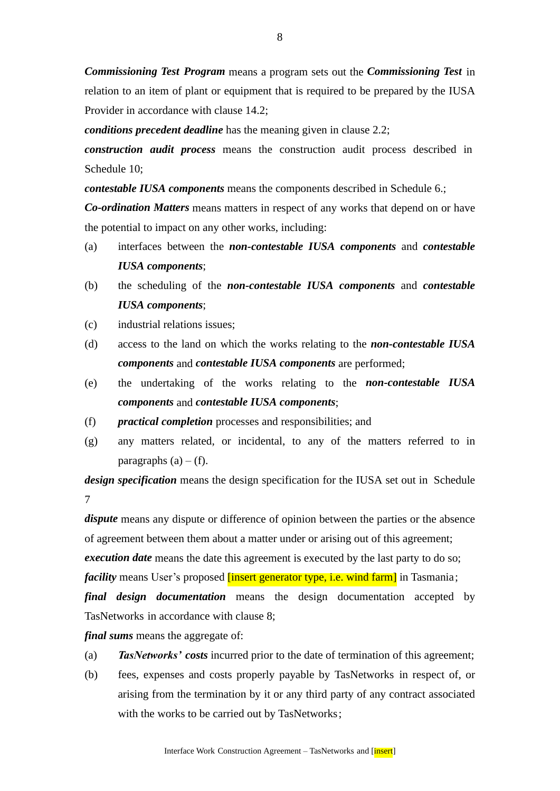*Commissioning Test Program* means a program sets out the *Commissioning Test* in relation to an item of plant or equipment that is required to be prepared by the IUSA Provider in accordance with clause 14.2;

*conditions precedent deadline* has the meaning given in clause 2.2;

*construction audit process* means the construction audit process described in Schedule 10;

*contestable IUSA components* means the components described in Schedule 6.;

*Co-ordination Matters* means matters in respect of any works that depend on or have the potential to impact on any other works, including:

- (a) interfaces between the *non-contestable IUSA components* and *contestable IUSA components*;
- (b) the scheduling of the *non-contestable IUSA components* and *contestable IUSA components*;
- (c) industrial relations issues;
- (d) access to the land on which the works relating to the *non-contestable IUSA components* and *contestable IUSA components* are performed;
- (e) the undertaking of the works relating to the *non-contestable IUSA components* and *contestable IUSA components*;
- (f) *practical completion* processes and responsibilities; and
- (g) any matters related, or incidental, to any of the matters referred to in paragraphs  $(a) - (f)$ .

*design specification* means the design specification for the IUSA set out in Schedule 7

*dispute* means any dispute or difference of opinion between the parties or the absence of agreement between them about a matter under or arising out of this agreement; *execution date* means the date this agreement is executed by the last party to do so; *facility* means User's proposed *[insert generator type, i.e. wind farm]* in Tasmania; *final design documentation* means the design documentation accepted by TasNetworks in accordance with clause 8;

*final sums* means the aggregate of:

- (a) *TasNetworks' costs* incurred prior to the date of termination of this agreement;
- (b) fees, expenses and costs properly payable by TasNetworks in respect of, or arising from the termination by it or any third party of any contract associated with the works to be carried out by TasNetworks;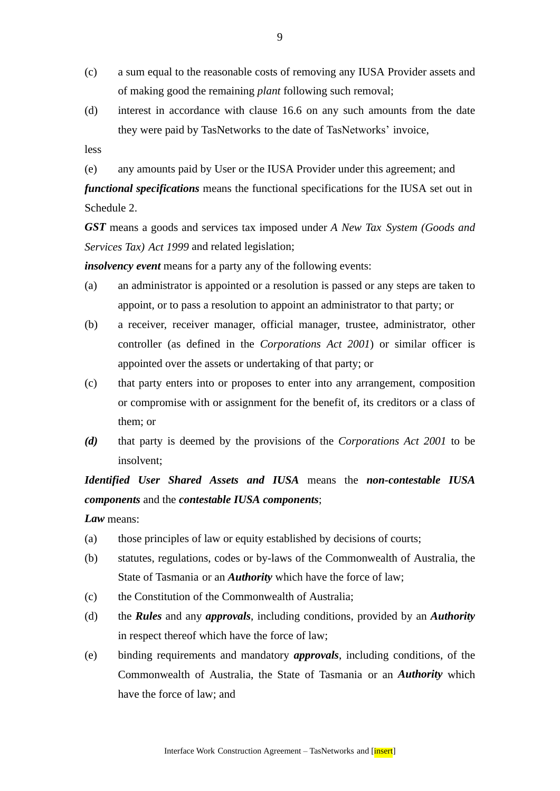- (c) a sum equal to the reasonable costs of removing any IUSA Provider assets and of making good the remaining *plant* following such removal;
- (d) interest in accordance with clause 16.6 on any such amounts from the date they were paid by TasNetworks to the date of TasNetworks' invoice,
- less
- (e) any amounts paid by User or the IUSA Provider under this agreement; and

*functional specifications* means the functional specifications for the IUSA set out in Schedule 2.

*GST* means a goods and services tax imposed under *A New Tax System (Goods and Services Tax) Act 1999* and related legislation;

*insolvency event* means for a party any of the following events:

- (a) an administrator is appointed or a resolution is passed or any steps are taken to appoint, or to pass a resolution to appoint an administrator to that party; or
- (b) a receiver, receiver manager, official manager, trustee, administrator, other controller (as defined in the *Corporations Act 2001*) or similar officer is appointed over the assets or undertaking of that party; or
- (c) that party enters into or proposes to enter into any arrangement, composition or compromise with or assignment for the benefit of, its creditors or a class of them; or
- *(d)* that party is deemed by the provisions of the *Corporations Act 2001* to be insolvent;

*Identified User Shared Assets and IUSA* means the *non-contestable IUSA components* and the *contestable IUSA components*;

*Law* means:

- (a) those principles of law or equity established by decisions of courts;
- (b) statutes, regulations, codes or by-laws of the Commonwealth of Australia, the State of Tasmania or an *Authority* which have the force of law;
- (c) the Constitution of the Commonwealth of Australia;
- (d) the *Rules* and any *approvals*, including conditions, provided by an *Authority* in respect thereof which have the force of law;
- (e) binding requirements and mandatory *approvals*, including conditions, of the Commonwealth of Australia, the State of Tasmania or an *Authority* which have the force of law; and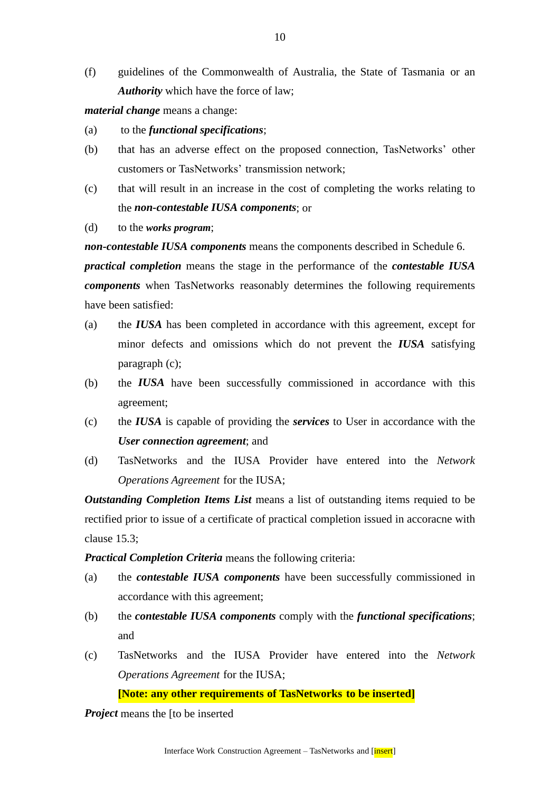(f) guidelines of the Commonwealth of Australia, the State of Tasmania or an *Authority* which have the force of law;

*material change* means a change:

- (a) to the *functional specifications*;
- (b) that has an adverse effect on the proposed connection, TasNetworks' other customers or TasNetworks' transmission network;
- (c) that will result in an increase in the cost of completing the works relating to the *non-contestable IUSA components*; or
- (d) to the *works program*;

*non-contestable IUSA components* means the components described in Schedule 6.

*practical completion* means the stage in the performance of the *contestable IUSA components* when TasNetworks reasonably determines the following requirements have been satisfied:

- (a) the *IUSA* has been completed in accordance with this agreement, except for minor defects and omissions which do not prevent the *IUSA* satisfying paragraph (c);
- (b) the *IUSA* have been successfully commissioned in accordance with this agreement;
- (c) the *IUSA* is capable of providing the *services* to User in accordance with the *User connection agreement*; and
- (d) TasNetworks and the IUSA Provider have entered into the *Network Operations Agreement* for the IUSA;

*Outstanding Completion Items List* means a list of outstanding items requied to be rectified prior to issue of a certificate of practical completion issued in accoracne with clause 15.3;

*Practical Completion Criteria* means the following criteria:

- (a) the *contestable IUSA components* have been successfully commissioned in accordance with this agreement;
- (b) the *contestable IUSA components* comply with the *functional specifications*; and
- (c) TasNetworks and the IUSA Provider have entered into the *Network Operations Agreement* for the IUSA;

**[Note: any other requirements of TasNetworks to be inserted]**

*Project* means the [to be inserted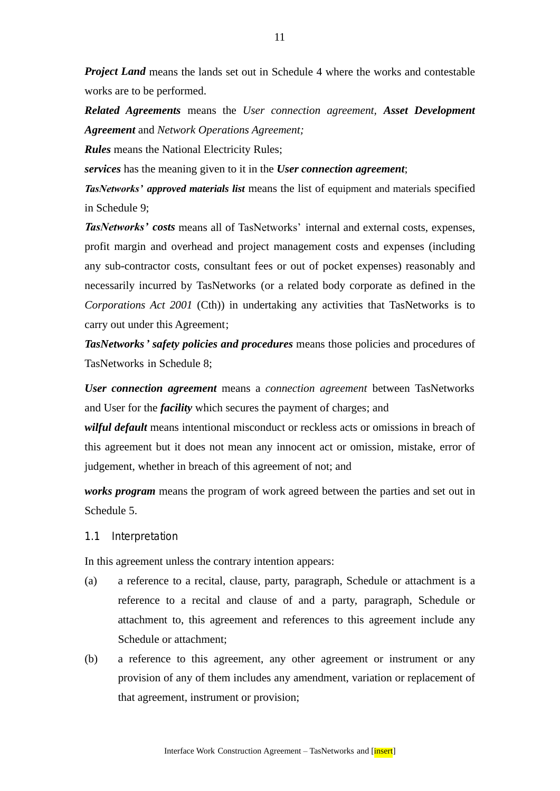*Project Land* means the lands set out in Schedule 4 where the works and contestable works are to be performed.

*Related Agreements* means the *User connection agreement, Asset Development Agreement* and *Network Operations Agreement;*

*Rules* means the National Electricity Rules;

*services* has the meaning given to it in the *User connection agreement*;

*TasNetworks' approved materials list* means the list of equipment and materials specified in Schedule 9;

*TasNetworks' costs* means all of TasNetworks' internal and external costs, expenses, profit margin and overhead and project management costs and expenses (including any sub-contractor costs, consultant fees or out of pocket expenses) reasonably and necessarily incurred by TasNetworks (or a related body corporate as defined in the *Corporations Act 2001* (Cth)) in undertaking any activities that TasNetworks is to carry out under this Agreement;

*TasNetworks' safety policies and procedures* means those policies and procedures of TasNetworks in Schedule 8;

*User connection agreement* means a *connection agreement* between TasNetworks and User for the *facility* which secures the payment of charges; and

*wilful default* means intentional misconduct or reckless acts or omissions in breach of this agreement but it does not mean any innocent act or omission, mistake, error of judgement, whether in breach of this agreement of not; and

*works program* means the program of work agreed between the parties and set out in Schedule 5.

1.1 Interpretation

In this agreement unless the contrary intention appears:

- (a) a reference to a recital, clause, party, paragraph, Schedule or attachment is a reference to a recital and clause of and a party, paragraph, Schedule or attachment to, this agreement and references to this agreement include any Schedule or attachment;
- (b) a reference to this agreement, any other agreement or instrument or any provision of any of them includes any amendment, variation or replacement of that agreement, instrument or provision;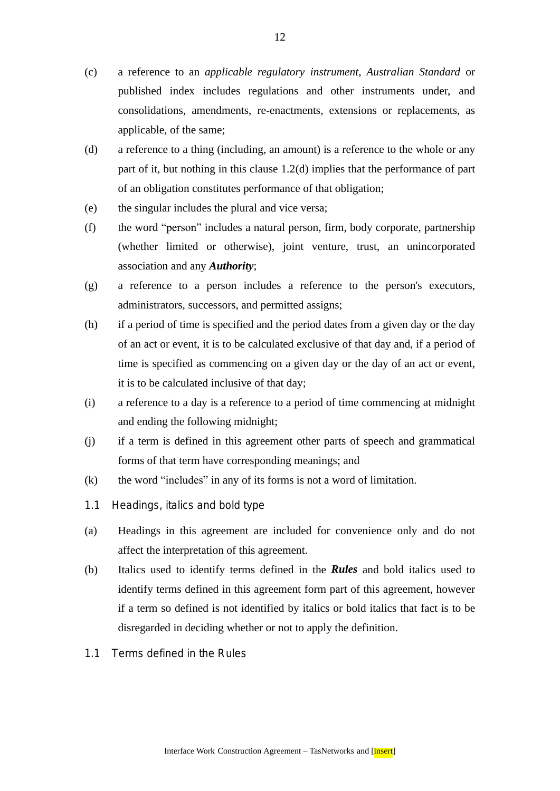- (c) a reference to an *applicable regulatory instrument*, *Australian Standard* or published index includes regulations and other instruments under, and consolidations, amendments, re-enactments, extensions or replacements, as applicable, of the same;
- (d) a reference to a thing (including, an amount) is a reference to the whole or any part of it, but nothing in this clause 1.2(d) implies that the performance of part of an obligation constitutes performance of that obligation;
- (e) the singular includes the plural and vice versa;
- (f) the word "person" includes a natural person, firm, body corporate, partnership (whether limited or otherwise), joint venture, trust, an unincorporated association and any *Authority*;
- (g) a reference to a person includes a reference to the person's executors, administrators, successors, and permitted assigns;
- (h) if a period of time is specified and the period dates from a given day or the day of an act or event, it is to be calculated exclusive of that day and, if a period of time is specified as commencing on a given day or the day of an act or event, it is to be calculated inclusive of that day;
- (i) a reference to a day is a reference to a period of time commencing at midnight and ending the following midnight;
- (j) if a term is defined in this agreement other parts of speech and grammatical forms of that term have corresponding meanings; and
- (k) the word "includes" in any of its forms is not a word of limitation.
- 1.1 Headings, italics and bold type
- (a) Headings in this agreement are included for convenience only and do not affect the interpretation of this agreement.
- (b) Italics used to identify terms defined in the *Rules* and bold italics used to identify terms defined in this agreement form part of this agreement, however if a term so defined is not identified by italics or bold italics that fact is to be disregarded in deciding whether or not to apply the definition.
- 1.1 Terms defined in the Rules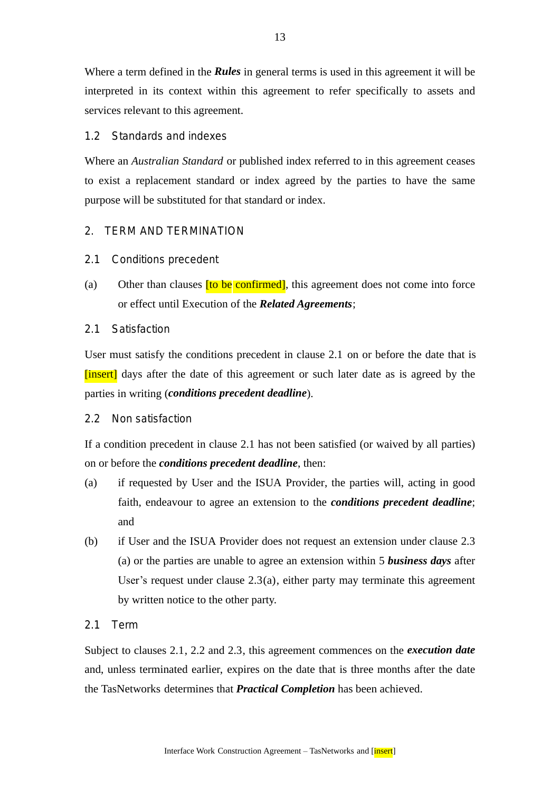Where a term defined in the *Rules* in general terms is used in this agreement it will be interpreted in its context within this agreement to refer specifically to assets and services relevant to this agreement.

## 1.2 Standards and indexes

Where an *Australian Standard* or published index referred to in this agreement ceases to exist a replacement standard or index agreed by the parties to have the same purpose will be substituted for that standard or index.

## 2. TERM AND TERMINATION

- 2.1 Conditions precedent
- (a) Other than clauses **[to be confirmed]**, this agreement does not come into force or effect until Execution of the *Related Agreements*;
- 2.1 Satisfaction

User must satisfy the conditions precedent in clause 2.1 on or before the date that is [insert] days after the date of this agreement or such later date as is agreed by the parties in writing (*conditions precedent deadline*).

2.2 Non satisfaction

If a condition precedent in clause 2.1 has not been satisfied (or waived by all parties) on or before the *conditions precedent deadline*, then:

- (a) if requested by User and the ISUA Provider, the parties will, acting in good faith, endeavour to agree an extension to the *conditions precedent deadline*; and
- (b) if User and the ISUA Provider does not request an extension under clause 2.3 (a) or the parties are unable to agree an extension within 5 *business days* after User's request under clause  $2.3(a)$ , either party may terminate this agreement by written notice to the other party.
- 2.1 Term

Subject to clauses 2.1, 2.2 and 2.3, this agreement commences on the *execution date* and, unless terminated earlier, expires on the date that is three months after the date the TasNetworks determines that *Practical Completion* has been achieved.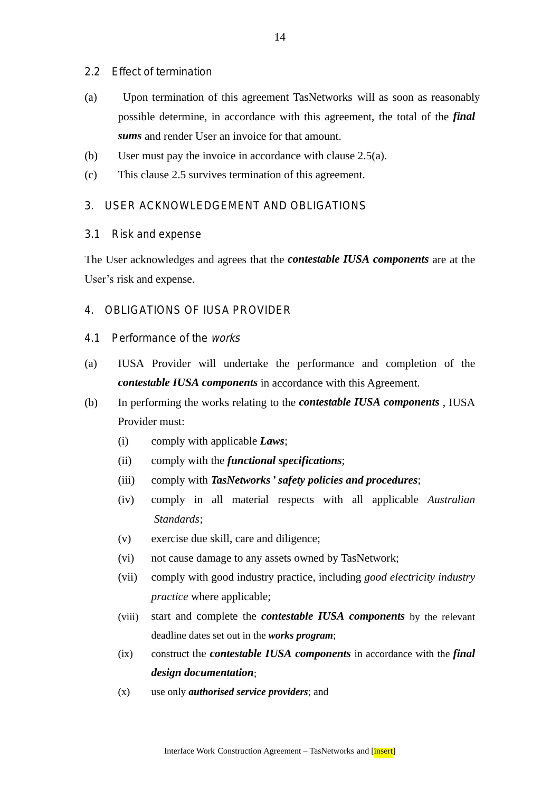- 2.2 Effect of termination
- (a) Upon termination of this agreement TasNetworks will as soon as reasonably possible determine, in accordance with this agreement, the total of the *final sums* and render User an invoice for that amount.
- (b) User must pay the invoice in accordance with clause 2.5(a).
- (c) This clause 2.5 survives termination of this agreement.

## 3. USER ACKNOWLEDGEMENT AND OBLIGATIONS

#### 3.1 Risk and expense

The User acknowledges and agrees that the *contestable IUSA components* are at the User's risk and expense.

## 4. OBLIGATIONS OF IUSA PROVIDER

- 4.1 Performance of the works
- (a) IUSA Provider will undertake the performance and completion of the *contestable IUSA components* in accordance with this Agreement.
- (b) In performing the works relating to the *contestable IUSA components* , IUSA Provider must:
	- (i) comply with applicable *Laws*;
	- (ii) comply with the *functional specifications*;
	- (iii) comply with *TasNetworks' safety policies and procedures*;
	- (iv) comply in all material respects with all applicable *Australian Standards*;
	- (v) exercise due skill, care and diligence;
	- (vi) not cause damage to any assets owned by TasNetwork;
	- (vii) comply with good industry practice, including *good electricity industry practice* where applicable;
	- (viii) start and complete the *contestable IUSA components* by the relevant deadline dates set out in the *works program*;
	- (ix) construct the *contestable IUSA components* in accordance with the *final design documentation*;
	- (x) use only *authorised service providers*; and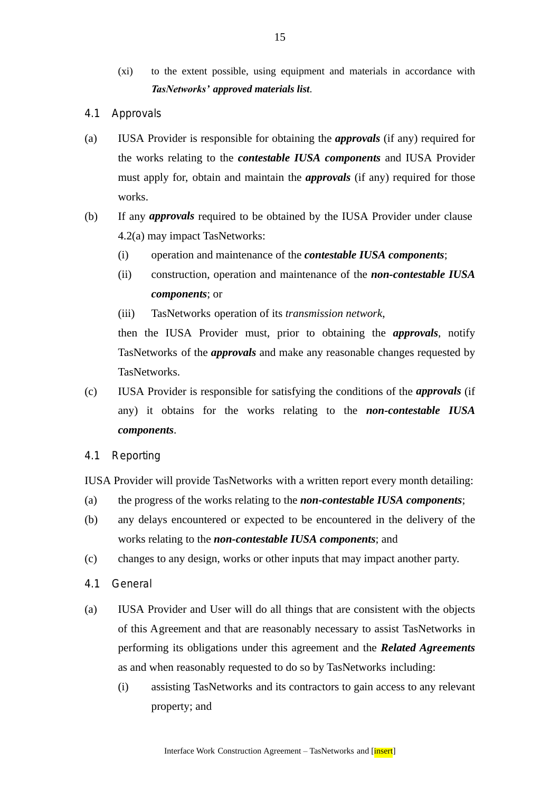- (xi) to the extent possible, using equipment and materials in accordance with *TasNetworks' approved materials list*.
- 4.1 Approvals
- (a) IUSA Provider is responsible for obtaining the *approvals* (if any) required for the works relating to the *contestable IUSA components* and IUSA Provider must apply for, obtain and maintain the *approvals* (if any) required for those works.
- (b) If any *approvals* required to be obtained by the IUSA Provider under clause 4.2(a) may impact TasNetworks:
	- (i) operation and maintenance of the *contestable IUSA components*;
	- (ii) construction, operation and maintenance of the *non-contestable IUSA components*; or
	- (iii) TasNetworks operation of its *transmission network*,

then the IUSA Provider must, prior to obtaining the *approvals*, notify TasNetworks of the *approvals* and make any reasonable changes requested by TasNetworks.

- (c) IUSA Provider is responsible for satisfying the conditions of the *approvals* (if any) it obtains for the works relating to the *non-contestable IUSA components*.
- 4.1 Reporting

IUSA Provider will provide TasNetworks with a written report every month detailing:

- (a) the progress of the works relating to the *non-contestable IUSA components*;
- (b) any delays encountered or expected to be encountered in the delivery of the works relating to the *non-contestable IUSA components*; and
- (c) changes to any design, works or other inputs that may impact another party.
- 4.1 General
- (a) IUSA Provider and User will do all things that are consistent with the objects of this Agreement and that are reasonably necessary to assist TasNetworks in performing its obligations under this agreement and the *Related Agreements* as and when reasonably requested to do so by TasNetworks including:
	- (i) assisting TasNetworks and its contractors to gain access to any relevant property; and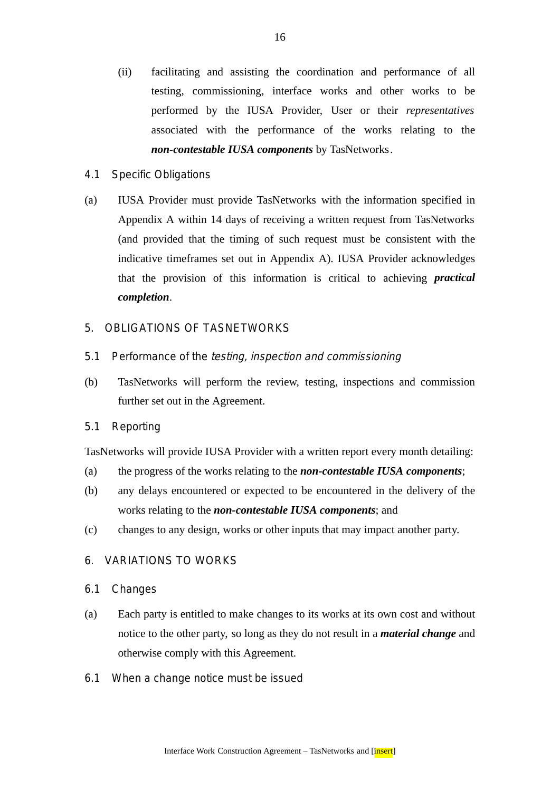- (ii) facilitating and assisting the coordination and performance of all testing, commissioning, interface works and other works to be performed by the IUSA Provider, User or their *representatives* associated with the performance of the works relating to the *non-contestable IUSA components* by TasNetworks.
- 4.1 Specific Obligations
- (a) IUSA Provider must provide TasNetworks with the information specified in Appendix A within 14 days of receiving a written request from TasNetworks (and provided that the timing of such request must be consistent with the indicative timeframes set out in Appendix A). IUSA Provider acknowledges that the provision of this information is critical to achieving *practical completion*.

## 5. OBLIGATIONS OF TASNETWORKS

- 5.1 Performance of the testing, inspection and commissioning
- (b) TasNetworks will perform the review, testing, inspections and commission further set out in the Agreement.
- 5.1 Reporting

TasNetworks will provide IUSA Provider with a written report every month detailing:

- (a) the progress of the works relating to the *non-contestable IUSA components*;
- (b) any delays encountered or expected to be encountered in the delivery of the works relating to the *non-contestable IUSA components*; and
- (c) changes to any design, works or other inputs that may impact another party.

# 6. VARIATIONS TO WORKS

- 6.1 Changes
- (a) Each party is entitled to make changes to its works at its own cost and without notice to the other party, so long as they do not result in a *material change* and otherwise comply with this Agreement.
- 6.1 When a change notice must be issued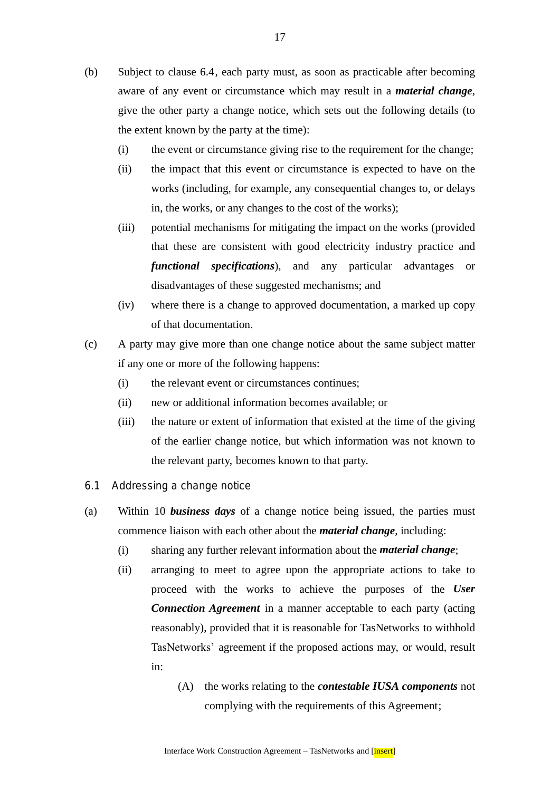- (b) Subject to clause 6.4, each party must, as soon as practicable after becoming aware of any event or circumstance which may result in a *material change*, give the other party a change notice, which sets out the following details (to the extent known by the party at the time):
	- (i) the event or circumstance giving rise to the requirement for the change;
	- (ii) the impact that this event or circumstance is expected to have on the works (including, for example, any consequential changes to, or delays in, the works, or any changes to the cost of the works);
	- (iii) potential mechanisms for mitigating the impact on the works (provided that these are consistent with good electricity industry practice and *functional specifications*), and any particular advantages or disadvantages of these suggested mechanisms; and
	- (iv) where there is a change to approved documentation, a marked up copy of that documentation.
- (c) A party may give more than one change notice about the same subject matter if any one or more of the following happens:
	- (i) the relevant event or circumstances continues;
	- (ii) new or additional information becomes available; or
	- (iii) the nature or extent of information that existed at the time of the giving of the earlier change notice, but which information was not known to the relevant party, becomes known to that party.
- 6.1 Addressing a change notice
- (a) Within 10 *business days* of a change notice being issued, the parties must commence liaison with each other about the *material change*, including:
	- (i) sharing any further relevant information about the *material change*;
	- (ii) arranging to meet to agree upon the appropriate actions to take to proceed with the works to achieve the purposes of the *User Connection Agreement* in a manner acceptable to each party (acting reasonably), provided that it is reasonable for TasNetworks to withhold TasNetworks' agreement if the proposed actions may, or would, result in:
		- (A) the works relating to the *contestable IUSA components* not complying with the requirements of this Agreement;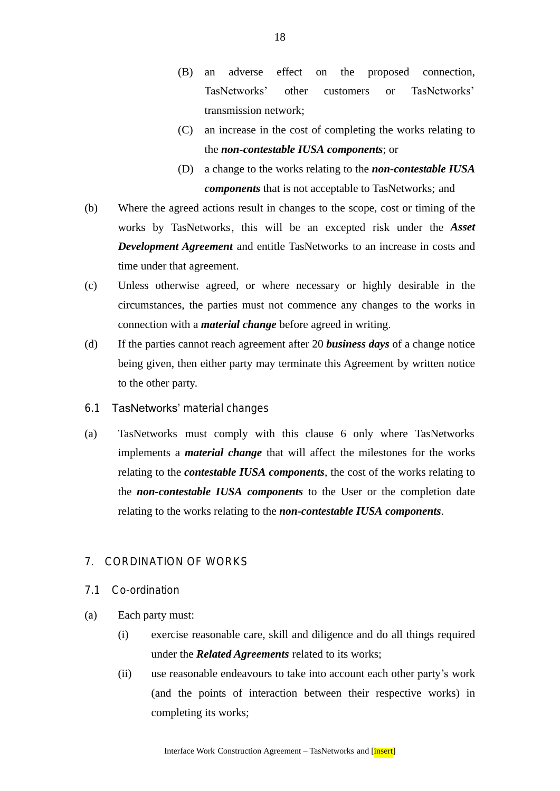- (B) an adverse effect on the proposed connection, TasNetworks' other customers or TasNetworks' transmission network;
- (C) an increase in the cost of completing the works relating to the *non-contestable IUSA components*; or
- (D) a change to the works relating to the *non-contestable IUSA components* that is not acceptable to TasNetworks; and
- (b) Where the agreed actions result in changes to the scope, cost or timing of the works by TasNetworks, this will be an excepted risk under the *Asset Development Agreement* and entitle TasNetworks to an increase in costs and time under that agreement.
- (c) Unless otherwise agreed, or where necessary or highly desirable in the circumstances, the parties must not commence any changes to the works in connection with a *material change* before agreed in writing.
- (d) If the parties cannot reach agreement after 20 *business days* of a change notice being given, then either party may terminate this Agreement by written notice to the other party.
- 6.1 TasNetworks' material changes
- (a) TasNetworks must comply with this clause 6 only where TasNetworks implements a *material change* that will affect the milestones for the works relating to the *contestable IUSA components*, the cost of the works relating to the *non-contestable IUSA components* to the User or the completion date relating to the works relating to the *non-contestable IUSA components*.

# 7. CORDINATION OF WORKS

- 7.1 Co-ordination
- (a) Each party must:
	- (i) exercise reasonable care, skill and diligence and do all things required under the *Related Agreements* related to its works;
	- (ii) use reasonable endeavours to take into account each other party's work (and the points of interaction between their respective works) in completing its works;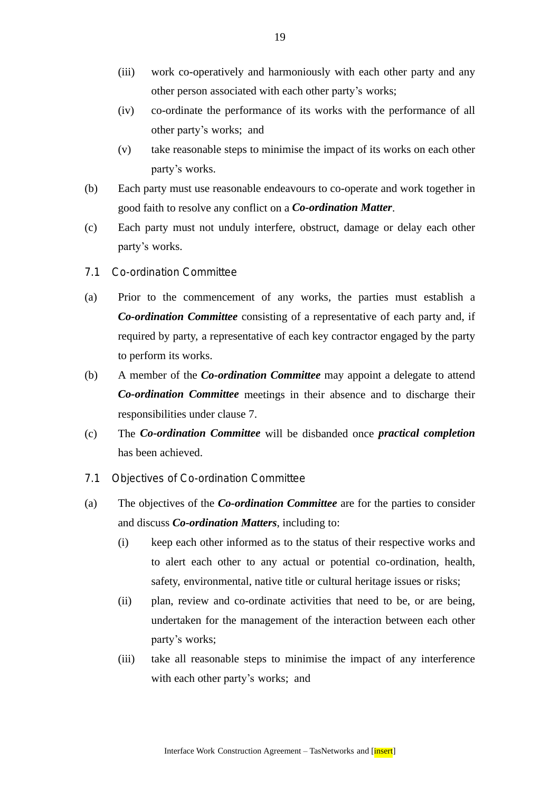- (iii) work co-operatively and harmoniously with each other party and any other person associated with each other party's works;
- (iv) co-ordinate the performance of its works with the performance of all other party's works; and
- (v) take reasonable steps to minimise the impact of its works on each other party's works.
- (b) Each party must use reasonable endeavours to co-operate and work together in good faith to resolve any conflict on a *Co-ordination Matter*.
- (c) Each party must not unduly interfere, obstruct, damage or delay each other party's works.
- 7.1 Co-ordination Committee
- (a) Prior to the commencement of any works, the parties must establish a *Co-ordination Committee* consisting of a representative of each party and, if required by party, a representative of each key contractor engaged by the party to perform its works.
- (b) A member of the *Co-ordination Committee* may appoint a delegate to attend *Co-ordination Committee* meetings in their absence and to discharge their responsibilities under clause 7.
- (c) The *Co-ordination Committee* will be disbanded once *practical completion* has been achieved.
- 7.1 Objectives of Co-ordination Committee
- (a) The objectives of the *Co-ordination Committee* are for the parties to consider and discuss *Co-ordination Matters*, including to:
	- (i) keep each other informed as to the status of their respective works and to alert each other to any actual or potential co-ordination, health, safety, environmental, native title or cultural heritage issues or risks;
	- (ii) plan, review and co-ordinate activities that need to be, or are being, undertaken for the management of the interaction between each other party's works;
	- (iii) take all reasonable steps to minimise the impact of any interference with each other party's works; and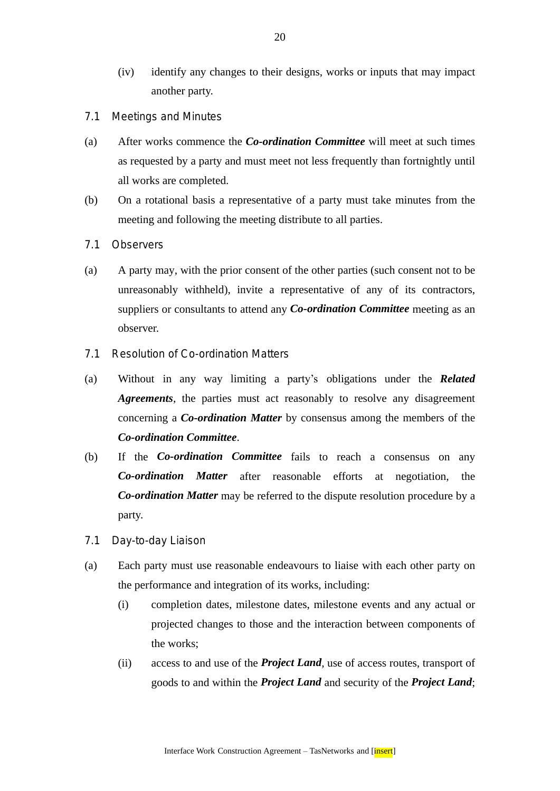- (iv) identify any changes to their designs, works or inputs that may impact another party.
- 7.1 Meetings and Minutes
- (a) After works commence the *Co-ordination Committee* will meet at such times as requested by a party and must meet not less frequently than fortnightly until all works are completed.
- (b) On a rotational basis a representative of a party must take minutes from the meeting and following the meeting distribute to all parties.
- 7.1 Observers
- (a) A party may, with the prior consent of the other parties (such consent not to be unreasonably withheld), invite a representative of any of its contractors, suppliers or consultants to attend any *Co-ordination Committee* meeting as an observer.
- 7.1 Resolution of Co-ordination Matters
- (a) Without in any way limiting a party's obligations under the *Related Agreements*, the parties must act reasonably to resolve any disagreement concerning a *Co-ordination Matter* by consensus among the members of the *Co-ordination Committee*.
- (b) If the *Co-ordination Committee* fails to reach a consensus on any *Co-ordination Matter* after reasonable efforts at negotiation, the *Co-ordination Matter* may be referred to the dispute resolution procedure by a party.
- 7.1 Day-to-day Liaison
- (a) Each party must use reasonable endeavours to liaise with each other party on the performance and integration of its works, including:
	- (i) completion dates, milestone dates, milestone events and any actual or projected changes to those and the interaction between components of the works;
	- (ii) access to and use of the *Project Land*, use of access routes, transport of goods to and within the *Project Land* and security of the *Project Land*;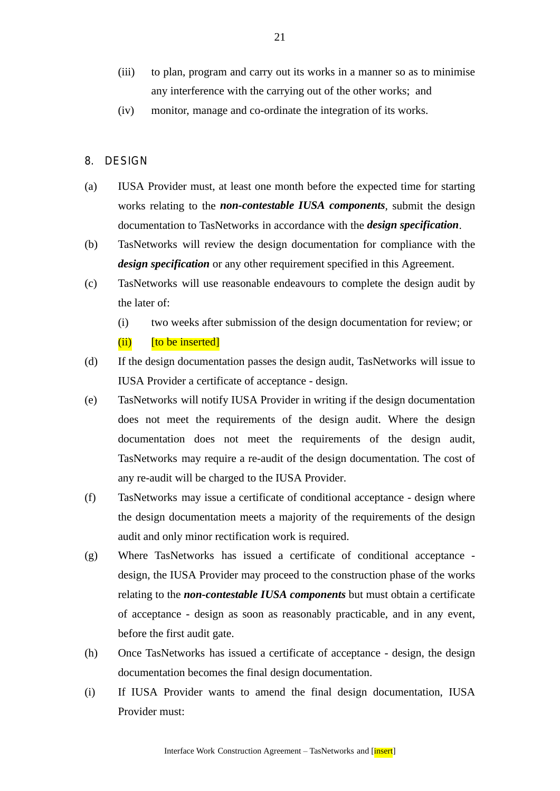- (iii) to plan, program and carry out its works in a manner so as to minimise any interference with the carrying out of the other works; and
- (iv) monitor, manage and co-ordinate the integration of its works.
- 8. DESIGN
- (a) IUSA Provider must, at least one month before the expected time for starting works relating to the *non-contestable IUSA components*, submit the design documentation to TasNetworks in accordance with the *design specification*.
- (b) TasNetworks will review the design documentation for compliance with the *design specification* or any other requirement specified in this Agreement.
- (c) TasNetworks will use reasonable endeavours to complete the design audit by the later of:
	- (i) two weeks after submission of the design documentation for review; or

```
(ii) [to be inserted]
```
- (d) If the design documentation passes the design audit, TasNetworks will issue to IUSA Provider a certificate of acceptance - design.
- (e) TasNetworks will notify IUSA Provider in writing if the design documentation does not meet the requirements of the design audit. Where the design documentation does not meet the requirements of the design audit, TasNetworks may require a re-audit of the design documentation. The cost of any re-audit will be charged to the IUSA Provider.
- (f) TasNetworks may issue a certificate of conditional acceptance design where the design documentation meets a majority of the requirements of the design audit and only minor rectification work is required.
- (g) Where TasNetworks has issued a certificate of conditional acceptance design, the IUSA Provider may proceed to the construction phase of the works relating to the *non-contestable IUSA components* but must obtain a certificate of acceptance - design as soon as reasonably practicable, and in any event, before the first audit gate.
- (h) Once TasNetworks has issued a certificate of acceptance design, the design documentation becomes the final design documentation.
- (i) If IUSA Provider wants to amend the final design documentation, IUSA Provider must: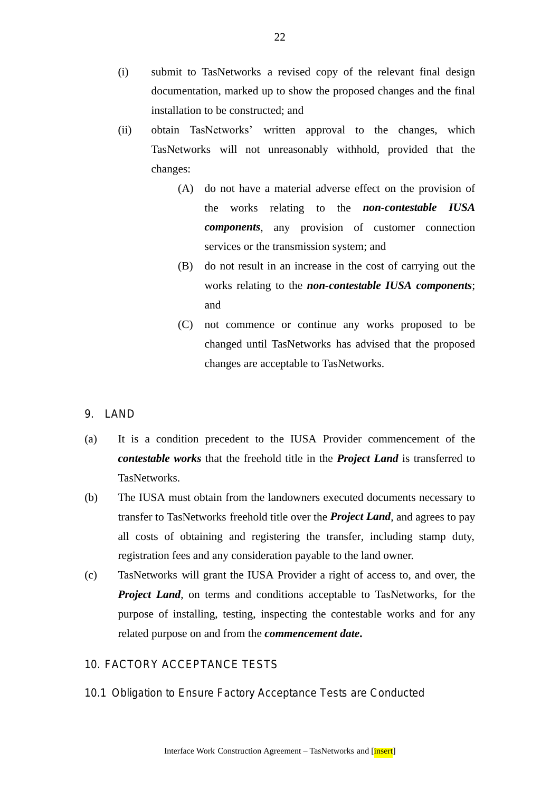- (i) submit to TasNetworks a revised copy of the relevant final design documentation, marked up to show the proposed changes and the final installation to be constructed; and
- (ii) obtain TasNetworks' written approval to the changes, which TasNetworks will not unreasonably withhold, provided that the changes:
	- (A) do not have a material adverse effect on the provision of the works relating to the *non-contestable IUSA components*, any provision of customer connection services or the transmission system; and
	- (B) do not result in an increase in the cost of carrying out the works relating to the *non-contestable IUSA components*; and
	- (C) not commence or continue any works proposed to be changed until TasNetworks has advised that the proposed changes are acceptable to TasNetworks.
- 9. LAND
- (a) It is a condition precedent to the IUSA Provider commencement of the *contestable works* that the freehold title in the *Project Land* is transferred to TasNetworks.
- (b) The IUSA must obtain from the landowners executed documents necessary to transfer to TasNetworks freehold title over the *Project Land*, and agrees to pay all costs of obtaining and registering the transfer, including stamp duty, registration fees and any consideration payable to the land owner.
- (c) TasNetworks will grant the IUSA Provider a right of access to, and over, the *Project Land*, on terms and conditions acceptable to TasNetworks, for the purpose of installing, testing, inspecting the contestable works and for any related purpose on and from the *commencement date***.**

## 10. FACTORY ACCEPTANCE TESTS

10.1 Obligation to Ensure Factory Acceptance Tests are Conducted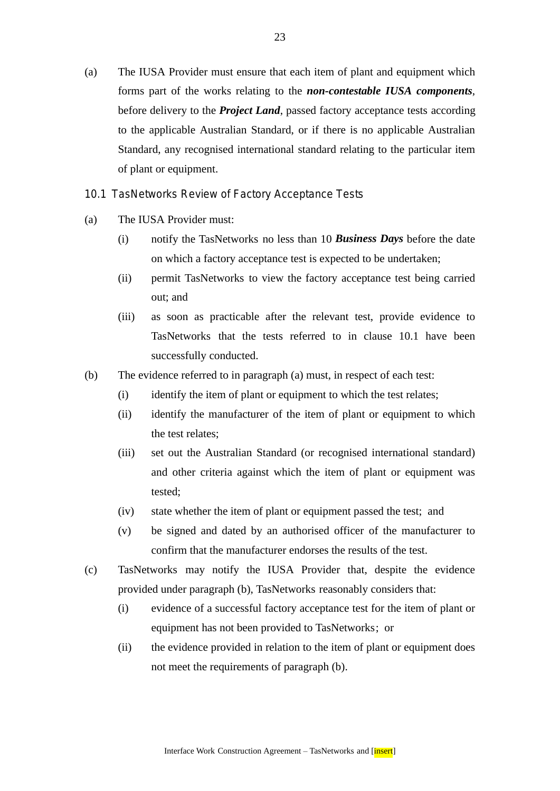(a) The IUSA Provider must ensure that each item of plant and equipment which forms part of the works relating to the *non-contestable IUSA components*, before delivery to the *Project Land*, passed factory acceptance tests according to the applicable Australian Standard, or if there is no applicable Australian Standard, any recognised international standard relating to the particular item of plant or equipment.

10.1 TasNetworks Review of Factory Acceptance Tests

- (a) The IUSA Provider must:
	- (i) notify the TasNetworks no less than 10 *Business Days* before the date on which a factory acceptance test is expected to be undertaken;
	- (ii) permit TasNetworks to view the factory acceptance test being carried out; and
	- (iii) as soon as practicable after the relevant test, provide evidence to TasNetworks that the tests referred to in clause 10.1 have been successfully conducted.
- (b) The evidence referred to in paragraph (a) must, in respect of each test:
	- (i) identify the item of plant or equipment to which the test relates;
	- (ii) identify the manufacturer of the item of plant or equipment to which the test relates;
	- (iii) set out the Australian Standard (or recognised international standard) and other criteria against which the item of plant or equipment was tested;
	- (iv) state whether the item of plant or equipment passed the test; and
	- (v) be signed and dated by an authorised officer of the manufacturer to confirm that the manufacturer endorses the results of the test.
- (c) TasNetworks may notify the IUSA Provider that, despite the evidence provided under paragraph (b), TasNetworks reasonably considers that:
	- (i) evidence of a successful factory acceptance test for the item of plant or equipment has not been provided to TasNetworks; or
	- (ii) the evidence provided in relation to the item of plant or equipment does not meet the requirements of paragraph (b).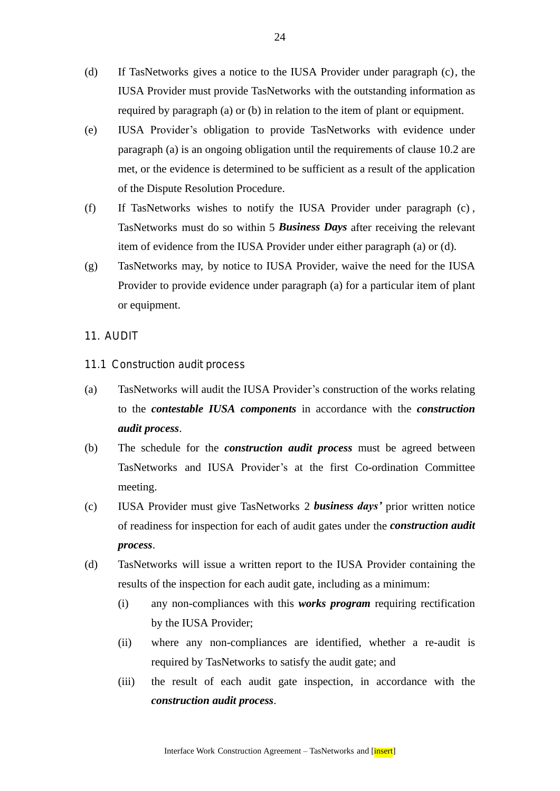- (d) If TasNetworks gives a notice to the IUSA Provider under paragraph (c), the IUSA Provider must provide TasNetworks with the outstanding information as required by paragraph (a) or (b) in relation to the item of plant or equipment.
- (e) IUSA Provider's obligation to provide TasNetworks with evidence under paragraph (a) is an ongoing obligation until the requirements of clause 10.2 are met, or the evidence is determined to be sufficient as a result of the application of the Dispute Resolution Procedure.
- (f) If TasNetworks wishes to notify the IUSA Provider under paragraph (c) , TasNetworks must do so within 5 *Business Days* after receiving the relevant item of evidence from the IUSA Provider under either paragraph (a) or (d).
- (g) TasNetworks may, by notice to IUSA Provider, waive the need for the IUSA Provider to provide evidence under paragraph (a) for a particular item of plant or equipment.
- 11. AUDIT
- 11.1 Construction audit process
- (a) TasNetworks will audit the IUSA Provider's construction of the works relating to the *contestable IUSA components* in accordance with the *construction audit process*.
- (b) The schedule for the *construction audit process* must be agreed between TasNetworks and IUSA Provider's at the first Co-ordination Committee meeting.
- (c) IUSA Provider must give TasNetworks 2 *business days'* prior written notice of readiness for inspection for each of audit gates under the *construction audit process*.
- (d) TasNetworks will issue a written report to the IUSA Provider containing the results of the inspection for each audit gate, including as a minimum:
	- (i) any non-compliances with this *works program* requiring rectification by the IUSA Provider;
	- (ii) where any non-compliances are identified, whether a re-audit is required by TasNetworks to satisfy the audit gate; and
	- (iii) the result of each audit gate inspection, in accordance with the *construction audit process*.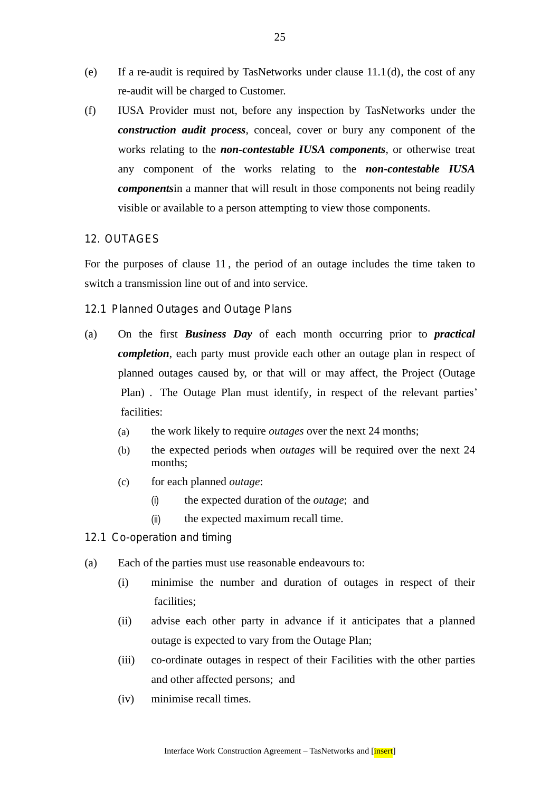- (e) If a re-audit is required by TasNetworks under clause 11.1(d), the cost of any re-audit will be charged to Customer.
- (f) IUSA Provider must not, before any inspection by TasNetworks under the *construction audit process*, conceal, cover or bury any component of the works relating to the *non-contestable IUSA components*, or otherwise treat any component of the works relating to the *non-contestable IUSA components*in a manner that will result in those components not being readily visible or available to a person attempting to view those components.

## 12. OUTAGES

For the purposes of clause 11 , the period of an outage includes the time taken to switch a transmission line out of and into service.

## 12.1 Planned Outages and Outage Plans

- (a) On the first *Business Day* of each month occurring prior to *practical completion*, each party must provide each other an outage plan in respect of planned outages caused by, or that will or may affect, the Project (Outage Plan) . The Outage Plan must identify, in respect of the relevant parties' facilities:
	- (a) the work likely to require *outages* over the next 24 months;
	- (b) the expected periods when *outages* will be required over the next 24 months;
	- (c) for each planned *outage*:
		- (i) the expected duration of the *outage*; and
		- (ii) the expected maximum recall time.
- 12.1 Co-operation and timing
- (a) Each of the parties must use reasonable endeavours to:
	- (i) minimise the number and duration of outages in respect of their facilities;
	- (ii) advise each other party in advance if it anticipates that a planned outage is expected to vary from the Outage Plan;
	- (iii) co-ordinate outages in respect of their Facilities with the other parties and other affected persons; and
	- (iv) minimise recall times.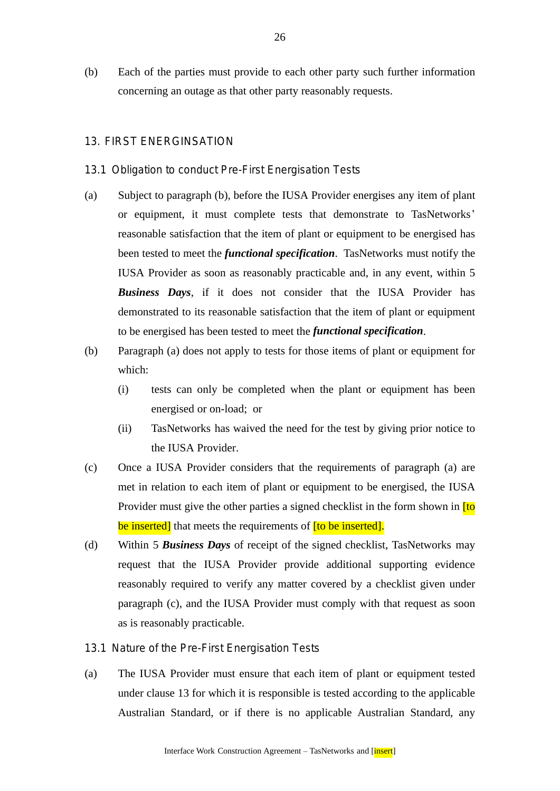(b) Each of the parties must provide to each other party such further information concerning an outage as that other party reasonably requests.

## 13. FIRST ENERGINSATION

#### 13.1 Obligation to conduct Pre-First Energisation Tests

- (a) Subject to paragraph (b), before the IUSA Provider energises any item of plant or equipment, it must complete tests that demonstrate to TasNetworks' reasonable satisfaction that the item of plant or equipment to be energised has been tested to meet the *functional specification*. TasNetworks must notify the IUSA Provider as soon as reasonably practicable and, in any event, within 5 *Business Days*, if it does not consider that the IUSA Provider has demonstrated to its reasonable satisfaction that the item of plant or equipment to be energised has been tested to meet the *functional specification*.
- (b) Paragraph (a) does not apply to tests for those items of plant or equipment for which:
	- (i) tests can only be completed when the plant or equipment has been energised or on-load; or
	- (ii) TasNetworks has waived the need for the test by giving prior notice to the IUSA Provider.
- (c) Once a IUSA Provider considers that the requirements of paragraph (a) are met in relation to each item of plant or equipment to be energised, the IUSA Provider must give the other parties a signed checklist in the form shown in **[to**] be inserted] that meets the requirements of **[to be inserted]**.
- (d) Within 5 *Business Days* of receipt of the signed checklist, TasNetworks may request that the IUSA Provider provide additional supporting evidence reasonably required to verify any matter covered by a checklist given under paragraph (c), and the IUSA Provider must comply with that request as soon as is reasonably practicable.
- 13.1 Nature of the Pre-First Energisation Tests
- (a) The IUSA Provider must ensure that each item of plant or equipment tested under clause 13 for which it is responsible is tested according to the applicable Australian Standard, or if there is no applicable Australian Standard, any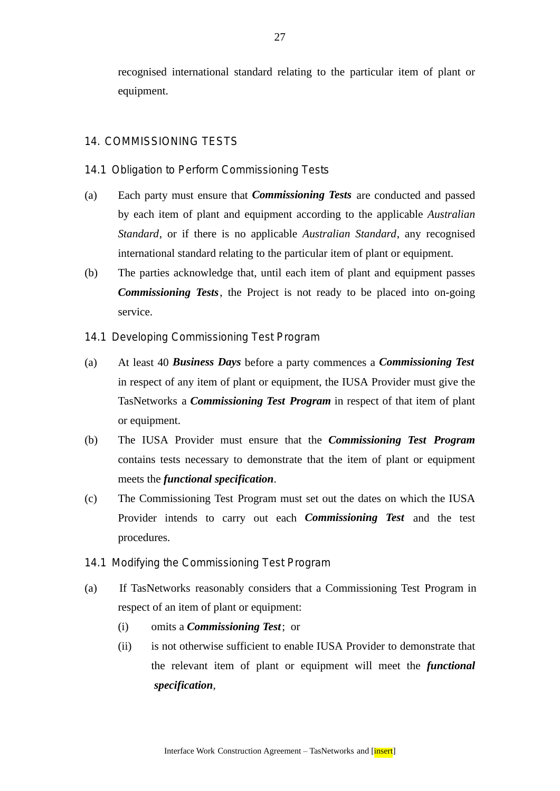recognised international standard relating to the particular item of plant or equipment.

## 14. COMMISSIONING TESTS

- 14.1 Obligation to Perform Commissioning Tests
- (a) Each party must ensure that *Commissioning Tests* are conducted and passed by each item of plant and equipment according to the applicable *Australian Standard*, or if there is no applicable *Australian Standard*, any recognised international standard relating to the particular item of plant or equipment.
- (b) The parties acknowledge that, until each item of plant and equipment passes *Commissioning Tests*, the Project is not ready to be placed into on-going service.
- 14.1 Developing Commissioning Test Program
- (a) At least 40 *Business Days* before a party commences a *Commissioning Test* in respect of any item of plant or equipment, the IUSA Provider must give the TasNetworks a *Commissioning Test Program* in respect of that item of plant or equipment.
- (b) The IUSA Provider must ensure that the *Commissioning Test Program* contains tests necessary to demonstrate that the item of plant or equipment meets the *functional specification*.
- (c) The Commissioning Test Program must set out the dates on which the IUSA Provider intends to carry out each *Commissioning Test* and the test procedures.
- 14.1 Modifying the Commissioning Test Program
- (a) If TasNetworks reasonably considers that a Commissioning Test Program in respect of an item of plant or equipment:
	- (i) omits a *Commissioning Test*; or
	- (ii) is not otherwise sufficient to enable IUSA Provider to demonstrate that the relevant item of plant or equipment will meet the *functional specification*,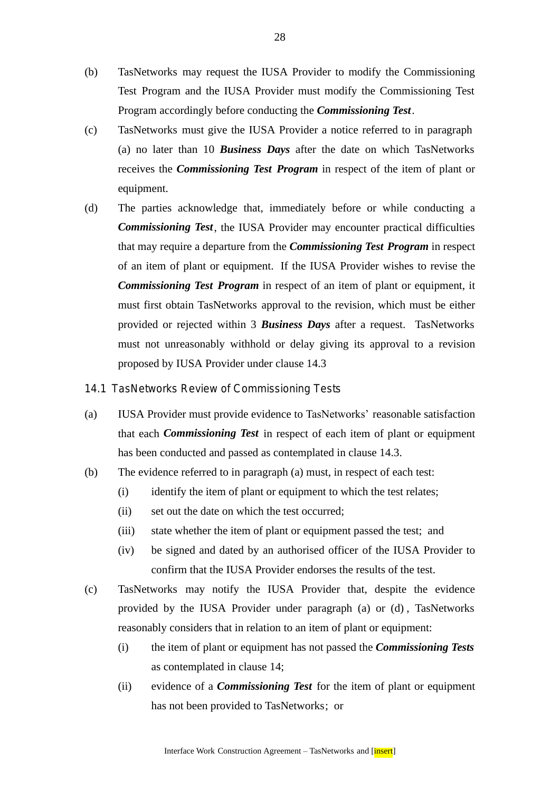- (b) TasNetworks may request the IUSA Provider to modify the Commissioning Test Program and the IUSA Provider must modify the Commissioning Test Program accordingly before conducting the *Commissioning Test*.
- (c) TasNetworks must give the IUSA Provider a notice referred to in paragraph (a) no later than 10 *Business Days* after the date on which TasNetworks receives the *Commissioning Test Program* in respect of the item of plant or equipment.
- (d) The parties acknowledge that, immediately before or while conducting a *Commissioning Test*, the IUSA Provider may encounter practical difficulties that may require a departure from the *Commissioning Test Program* in respect of an item of plant or equipment. If the IUSA Provider wishes to revise the *Commissioning Test Program* in respect of an item of plant or equipment, it must first obtain TasNetworks approval to the revision, which must be either provided or rejected within 3 *Business Days* after a request. TasNetworks must not unreasonably withhold or delay giving its approval to a revision proposed by IUSA Provider under clause 14.3
- 14.1 TasNetworks Review of Commissioning Tests
- (a) IUSA Provider must provide evidence to TasNetworks' reasonable satisfaction that each *Commissioning Test* in respect of each item of plant or equipment has been conducted and passed as contemplated in clause 14.3.
- (b) The evidence referred to in paragraph (a) must, in respect of each test:
	- (i) identify the item of plant or equipment to which the test relates;
	- (ii) set out the date on which the test occurred;
	- (iii) state whether the item of plant or equipment passed the test; and
	- (iv) be signed and dated by an authorised officer of the IUSA Provider to confirm that the IUSA Provider endorses the results of the test.
- (c) TasNetworks may notify the IUSA Provider that, despite the evidence provided by the IUSA Provider under paragraph (a) or (d) , TasNetworks reasonably considers that in relation to an item of plant or equipment:
	- (i) the item of plant or equipment has not passed the *Commissioning Tests* as contemplated in clause 14;
	- (ii) evidence of a *Commissioning Test* for the item of plant or equipment has not been provided to TasNetworks; or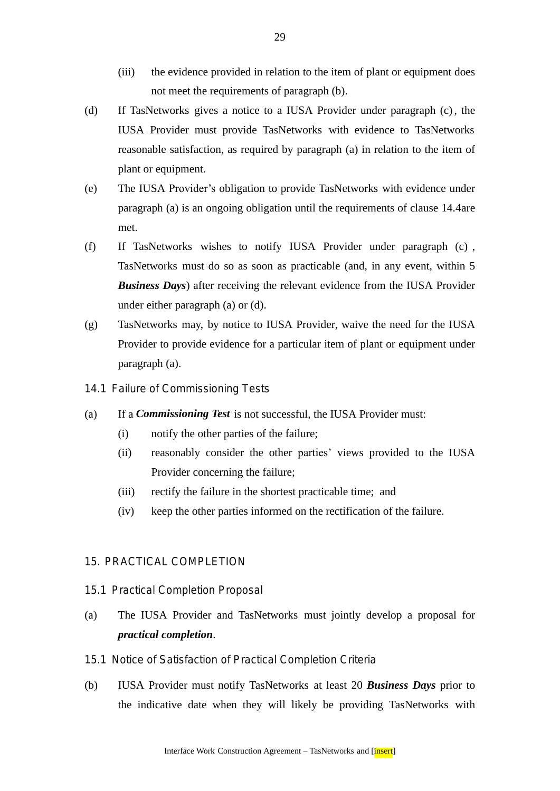- (iii) the evidence provided in relation to the item of plant or equipment does not meet the requirements of paragraph (b).
- (d) If TasNetworks gives a notice to a IUSA Provider under paragraph (c), the IUSA Provider must provide TasNetworks with evidence to TasNetworks reasonable satisfaction, as required by paragraph (a) in relation to the item of plant or equipment.
- (e) The IUSA Provider's obligation to provide TasNetworks with evidence under paragraph (a) is an ongoing obligation until the requirements of clause 14.4are met.
- (f) If TasNetworks wishes to notify IUSA Provider under paragraph (c) , TasNetworks must do so as soon as practicable (and, in any event, within 5 *Business Days*) after receiving the relevant evidence from the IUSA Provider under either paragraph (a) or (d).
- (g) TasNetworks may, by notice to IUSA Provider, waive the need for the IUSA Provider to provide evidence for a particular item of plant or equipment under paragraph (a).
- 14.1 Failure of Commissioning Tests
- (a) If a *Commissioning Test* is not successful, the IUSA Provider must:
	- (i) notify the other parties of the failure;
	- (ii) reasonably consider the other parties' views provided to the IUSA Provider concerning the failure;
	- (iii) rectify the failure in the shortest practicable time; and
	- (iv) keep the other parties informed on the rectification of the failure.

## 15. PRACTICAL COMPLETION

#### 15.1 Practical Completion Proposal

- (a) The IUSA Provider and TasNetworks must jointly develop a proposal for *practical completion*.
- 15.1 Notice of Satisfaction of Practical Completion Criteria
- (b) IUSA Provider must notify TasNetworks at least 20 *Business Days* prior to the indicative date when they will likely be providing TasNetworks with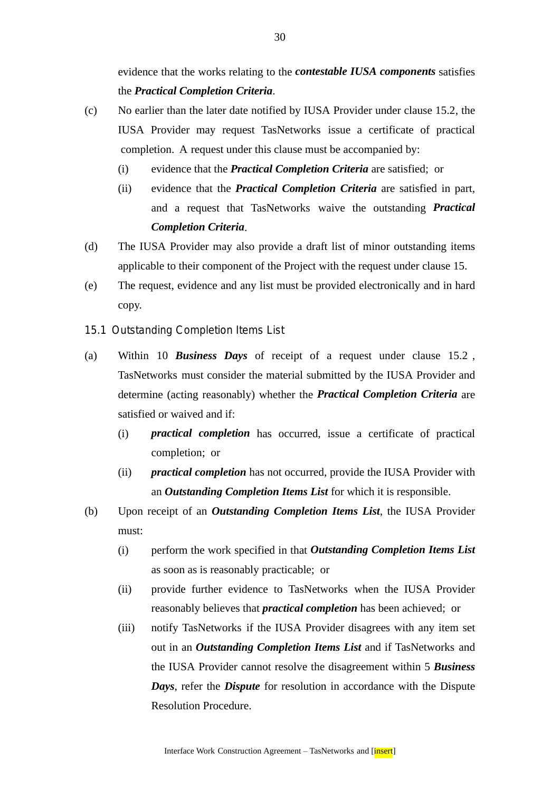evidence that the works relating to the *contestable IUSA components* satisfies the *Practical Completion Criteria*.

- (c) No earlier than the later date notified by IUSA Provider under clause 15.2, the IUSA Provider may request TasNetworks issue a certificate of practical completion. A request under this clause must be accompanied by:
	- (i) evidence that the *Practical Completion Criteria* are satisfied; or
	- (ii) evidence that the *Practical Completion Criteria* are satisfied in part, and a request that TasNetworks waive the outstanding *Practical Completion Criteria*.
- (d) The IUSA Provider may also provide a draft list of minor outstanding items applicable to their component of the Project with the request under clause 15.
- (e) The request, evidence and any list must be provided electronically and in hard copy.
- 15.1 Outstanding Completion Items List
- (a) Within 10 *Business Days* of receipt of a request under clause 15.2 , TasNetworks must consider the material submitted by the IUSA Provider and determine (acting reasonably) whether the *Practical Completion Criteria* are satisfied or waived and if:
	- (i) *practical completion* has occurred, issue a certificate of practical completion; or
	- (ii) *practical completion* has not occurred, provide the IUSA Provider with an *Outstanding Completion Items List* for which it is responsible.
- (b) Upon receipt of an *Outstanding Completion Items List*, the IUSA Provider must:
	- (i) perform the work specified in that *Outstanding Completion Items List* as soon as is reasonably practicable; or
	- (ii) provide further evidence to TasNetworks when the IUSA Provider reasonably believes that *practical completion* has been achieved; or
	- (iii) notify TasNetworks if the IUSA Provider disagrees with any item set out in an *Outstanding Completion Items List* and if TasNetworks and the IUSA Provider cannot resolve the disagreement within 5 *Business Days*, refer the *Dispute* for resolution in accordance with the Dispute Resolution Procedure.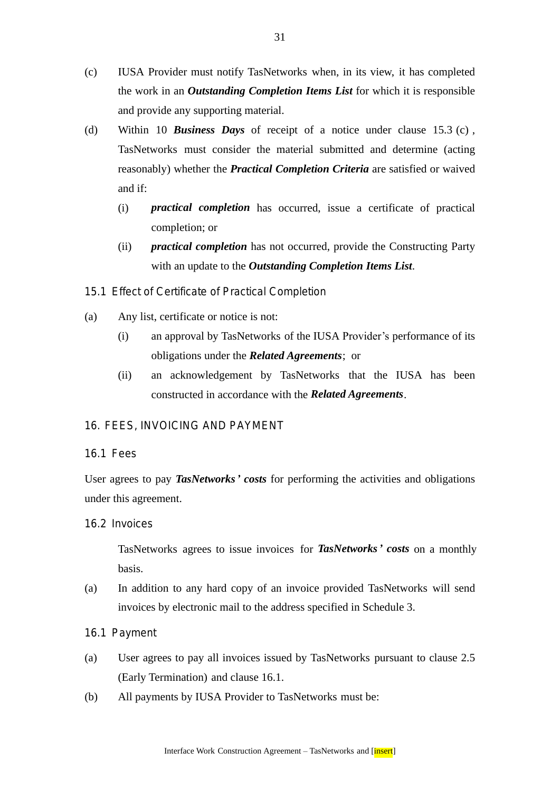- (c) IUSA Provider must notify TasNetworks when, in its view, it has completed the work in an *Outstanding Completion Items List* for which it is responsible and provide any supporting material.
- (d) Within 10 *Business Days* of receipt of a notice under clause 15.3 (c) , TasNetworks must consider the material submitted and determine (acting reasonably) whether the *Practical Completion Criteria* are satisfied or waived and if:
	- (i) *practical completion* has occurred, issue a certificate of practical completion; or
	- (ii) *practical completion* has not occurred, provide the Constructing Party with an update to the *Outstanding Completion Items List*.
- 15.1 Effect of Certificate of Practical Completion
- (a) Any list, certificate or notice is not:
	- (i) an approval by TasNetworks of the IUSA Provider's performance of its obligations under the *Related Agreements*; or
	- (ii) an acknowledgement by TasNetworks that the IUSA has been constructed in accordance with the *Related Agreements*.

# 16. FEES, INVOICING AND PAYMENT

# 16.1 Fees

User agrees to pay *TasNetworks' costs* for performing the activities and obligations under this agreement.

# 16.2 Invoices

TasNetworks agrees to issue invoices for *TasNetworks' costs* on a monthly basis.

- (a) In addition to any hard copy of an invoice provided TasNetworks will send invoices by electronic mail to the address specified in Schedule 3.
- 16.1 Payment
- (a) User agrees to pay all invoices issued by TasNetworks pursuant to clause 2.5 (Early Termination) and clause 16.1.
- (b) All payments by IUSA Provider to TasNetworks must be: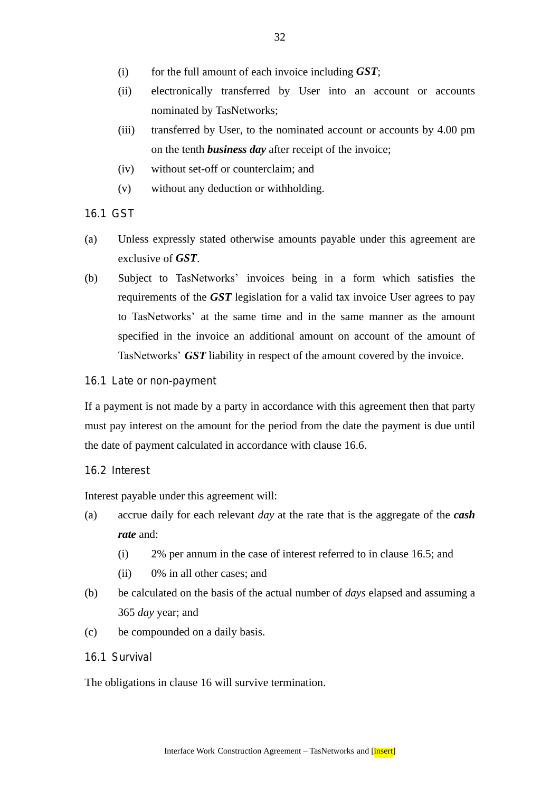- (i) for the full amount of each invoice including *GST*;
- (ii) electronically transferred by User into an account or accounts nominated by TasNetworks;
- (iii) transferred by User, to the nominated account or accounts by 4.00 pm on the tenth *business day* after receipt of the invoice;
- (iv) without set-off or counterclaim; and
- (v) without any deduction or withholding.
- 16.1 GST
- (a) Unless expressly stated otherwise amounts payable under this agreement are exclusive of *GST*.
- (b) Subject to TasNetworks' invoices being in a form which satisfies the requirements of the *GST* legislation for a valid tax invoice User agrees to pay to TasNetworks' at the same time and in the same manner as the amount specified in the invoice an additional amount on account of the amount of TasNetworks' *GST* liability in respect of the amount covered by the invoice.
- 16.1 Late or non-payment

If a payment is not made by a party in accordance with this agreement then that party must pay interest on the amount for the period from the date the payment is due until the date of payment calculated in accordance with clause 16.6.

## 16.2 Interest

Interest payable under this agreement will:

- (a) accrue daily for each relevant *day* at the rate that is the aggregate of the *cash rate* and:
	- (i) 2% per annum in the case of interest referred to in clause 16.5; and
	- (ii) 0% in all other cases; and
- (b) be calculated on the basis of the actual number of *days* elapsed and assuming a 365 *day* year; and
- (c) be compounded on a daily basis.
- 16.1 Survival

The obligations in clause 16 will survive termination.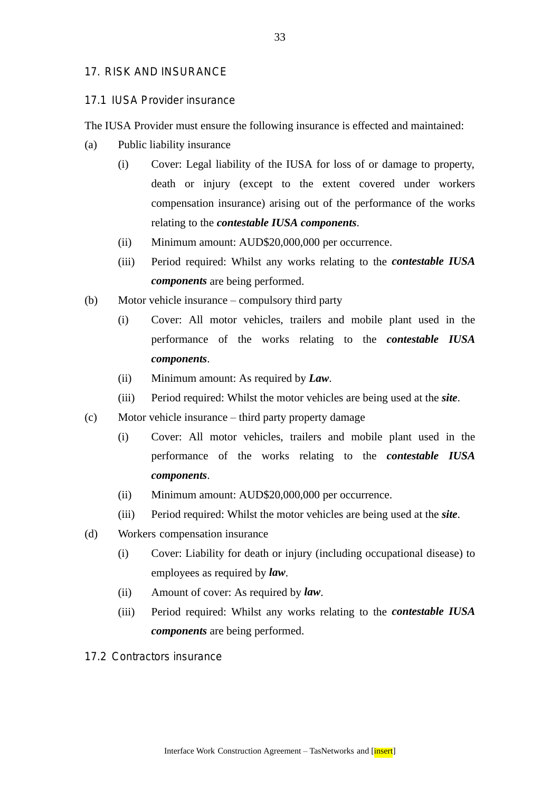## 17. RISK AND INSURANCE

#### 17.1 IUSA Provider insurance

The IUSA Provider must ensure the following insurance is effected and maintained:

- (a) Public liability insurance
	- (i) Cover: Legal liability of the IUSA for loss of or damage to property, death or injury (except to the extent covered under workers compensation insurance) arising out of the performance of the works relating to the *contestable IUSA components*.
	- (ii) Minimum amount: AUD\$20,000,000 per occurrence.
	- (iii) Period required: Whilst any works relating to the *contestable IUSA components* are being performed.
- (b) Motor vehicle insurance compulsory third party
	- (i) Cover: All motor vehicles, trailers and mobile plant used in the performance of the works relating to the *contestable IUSA components*.
	- (ii) Minimum amount: As required by *Law*.
	- (iii) Period required: Whilst the motor vehicles are being used at the *site*.
- (c) Motor vehicle insurance third party property damage
	- (i) Cover: All motor vehicles, trailers and mobile plant used in the performance of the works relating to the *contestable IUSA components*.
	- (ii) Minimum amount: AUD\$20,000,000 per occurrence.
	- (iii) Period required: Whilst the motor vehicles are being used at the *site*.
- (d) Workers compensation insurance
	- (i) Cover: Liability for death or injury (including occupational disease) to employees as required by *law*.
	- (ii) Amount of cover: As required by *law*.
	- (iii) Period required: Whilst any works relating to the *contestable IUSA components* are being performed.
- 17.2 Contractors insurance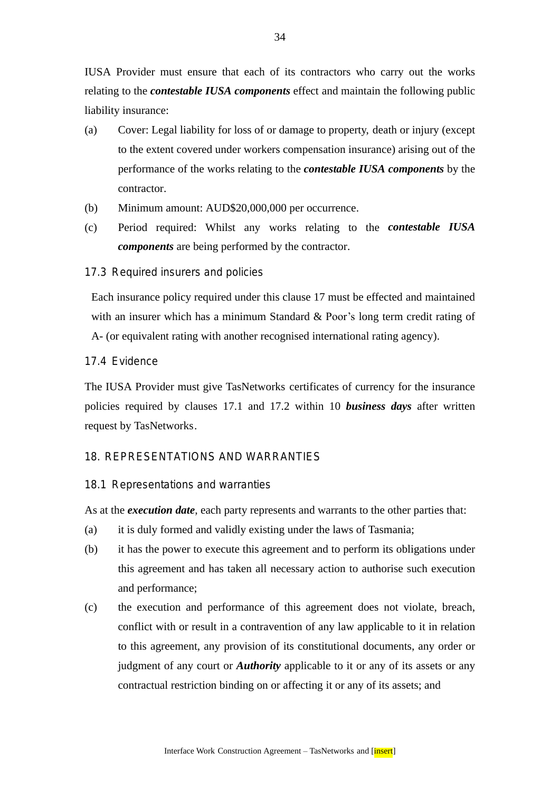IUSA Provider must ensure that each of its contractors who carry out the works relating to the *contestable IUSA components* effect and maintain the following public liability insurance:

- (a) Cover: Legal liability for loss of or damage to property, death or injury (except to the extent covered under workers compensation insurance) arising out of the performance of the works relating to the *contestable IUSA components* by the contractor.
- (b) Minimum amount: AUD\$20,000,000 per occurrence.
- (c) Period required: Whilst any works relating to the *contestable IUSA components* are being performed by the contractor.

## 17.3 Required insurers and policies

Each insurance policy required under this clause 17 must be effected and maintained with an insurer which has a minimum Standard & Poor's long term credit rating of A- (or equivalent rating with another recognised international rating agency).

## 17.4 Evidence

The IUSA Provider must give TasNetworks certificates of currency for the insurance policies required by clauses 17.1 and 17.2 within 10 *business days* after written request by TasNetworks.

## 18. REPRESENTATIONS AND WARRANTIES

#### 18.1 Representations and warranties

As at the *execution date*, each party represents and warrants to the other parties that:

- (a) it is duly formed and validly existing under the laws of Tasmania;
- (b) it has the power to execute this agreement and to perform its obligations under this agreement and has taken all necessary action to authorise such execution and performance;
- (c) the execution and performance of this agreement does not violate, breach, conflict with or result in a contravention of any law applicable to it in relation to this agreement, any provision of its constitutional documents, any order or judgment of any court or *Authority* applicable to it or any of its assets or any contractual restriction binding on or affecting it or any of its assets; and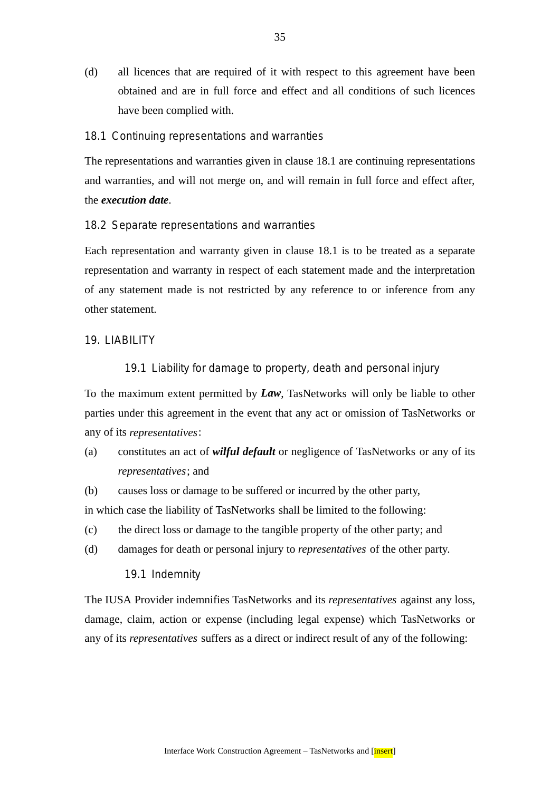(d) all licences that are required of it with respect to this agreement have been obtained and are in full force and effect and all conditions of such licences have been complied with.

#### 18.1 Continuing representations and warranties

The representations and warranties given in clause 18.1 are continuing representations and warranties, and will not merge on, and will remain in full force and effect after, the *execution date*.

18.2 Separate representations and warranties

Each representation and warranty given in clause 18.1 is to be treated as a separate representation and warranty in respect of each statement made and the interpretation of any statement made is not restricted by any reference to or inference from any other statement.

#### 19. LIABILITY

## 19.1 Liability for damage to property, death and personal injury

To the maximum extent permitted by *Law*, TasNetworks will only be liable to other parties under this agreement in the event that any act or omission of TasNetworks or any of its *representatives*:

- (a) constitutes an act of *wilful default* or negligence of TasNetworks or any of its *representatives*; and
- (b) causes loss or damage to be suffered or incurred by the other party,

in which case the liability of TasNetworks shall be limited to the following:

- (c) the direct loss or damage to the tangible property of the other party; and
- (d) damages for death or personal injury to *representatives* of the other party.

19.1 Indemnity

The IUSA Provider indemnifies TasNetworks and its *representatives* against any loss, damage, claim, action or expense (including legal expense) which TasNetworks or any of its *representatives* suffers as a direct or indirect result of any of the following: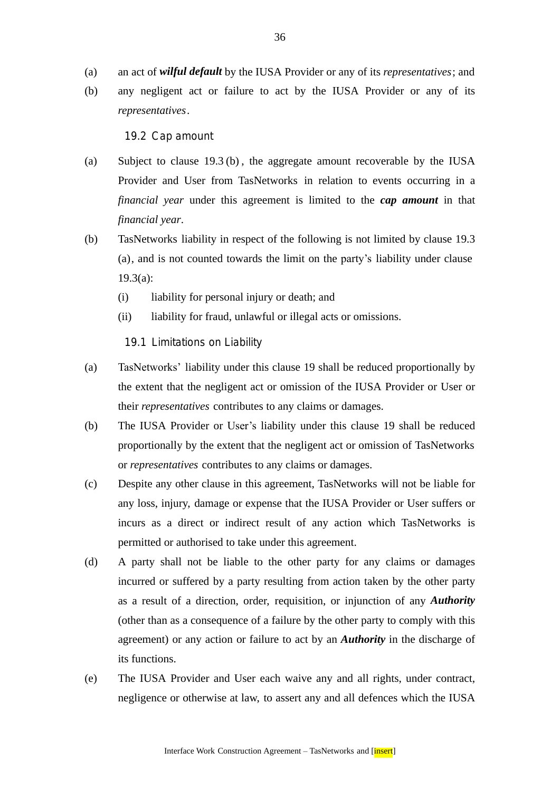- (a) an act of *wilful default* by the IUSA Provider or any of its *representatives*; and
- (b) any negligent act or failure to act by the IUSA Provider or any of its *representatives*.

19.2 Cap amount

- (a) Subject to clause 19.3 (b) , the aggregate amount recoverable by the IUSA Provider and User from TasNetworks in relation to events occurring in a *financial year* under this agreement is limited to the *cap amount* in that *financial year*.
- (b) TasNetworks liability in respect of the following is not limited by clause 19.3 (a), and is not counted towards the limit on the party's liability under clause 19.3(a):
	- (i) liability for personal injury or death; and
	- (ii) liability for fraud, unlawful or illegal acts or omissions.

19.1 Limitations on Liability

- (a) TasNetworks' liability under this clause 19 shall be reduced proportionally by the extent that the negligent act or omission of the IUSA Provider or User or their *representatives* contributes to any claims or damages.
- (b) The IUSA Provider or User's liability under this clause 19 shall be reduced proportionally by the extent that the negligent act or omission of TasNetworks or *representatives* contributes to any claims or damages.
- (c) Despite any other clause in this agreement, TasNetworks will not be liable for any loss, injury, damage or expense that the IUSA Provider or User suffers or incurs as a direct or indirect result of any action which TasNetworks is permitted or authorised to take under this agreement.
- (d) A party shall not be liable to the other party for any claims or damages incurred or suffered by a party resulting from action taken by the other party as a result of a direction, order, requisition, or injunction of any *Authority* (other than as a consequence of a failure by the other party to comply with this agreement) or any action or failure to act by an *Authority* in the discharge of its functions.
- (e) The IUSA Provider and User each waive any and all rights, under contract, negligence or otherwise at law, to assert any and all defences which the IUSA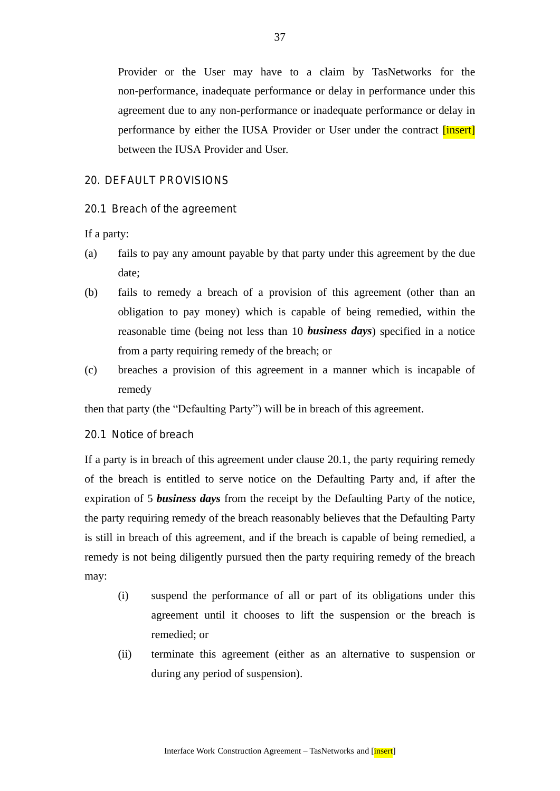Provider or the User may have to a claim by TasNetworks for the non-performance, inadequate performance or delay in performance under this agreement due to any non-performance or inadequate performance or delay in performance by either the IUSA Provider or User under the contract *[insert]* between the IUSA Provider and User.

#### 20. DEFAULT PROVISIONS

20.1 Breach of the agreement

If a party:

- (a) fails to pay any amount payable by that party under this agreement by the due date;
- (b) fails to remedy a breach of a provision of this agreement (other than an obligation to pay money) which is capable of being remedied, within the reasonable time (being not less than 10 *business days*) specified in a notice from a party requiring remedy of the breach; or
- (c) breaches a provision of this agreement in a manner which is incapable of remedy

then that party (the "Defaulting Party") will be in breach of this agreement.

20.1 Notice of breach

If a party is in breach of this agreement under clause 20.1, the party requiring remedy of the breach is entitled to serve notice on the Defaulting Party and, if after the expiration of 5 *business days* from the receipt by the Defaulting Party of the notice, the party requiring remedy of the breach reasonably believes that the Defaulting Party is still in breach of this agreement, and if the breach is capable of being remedied, a remedy is not being diligently pursued then the party requiring remedy of the breach may:

- (i) suspend the performance of all or part of its obligations under this agreement until it chooses to lift the suspension or the breach is remedied; or
- (ii) terminate this agreement (either as an alternative to suspension or during any period of suspension).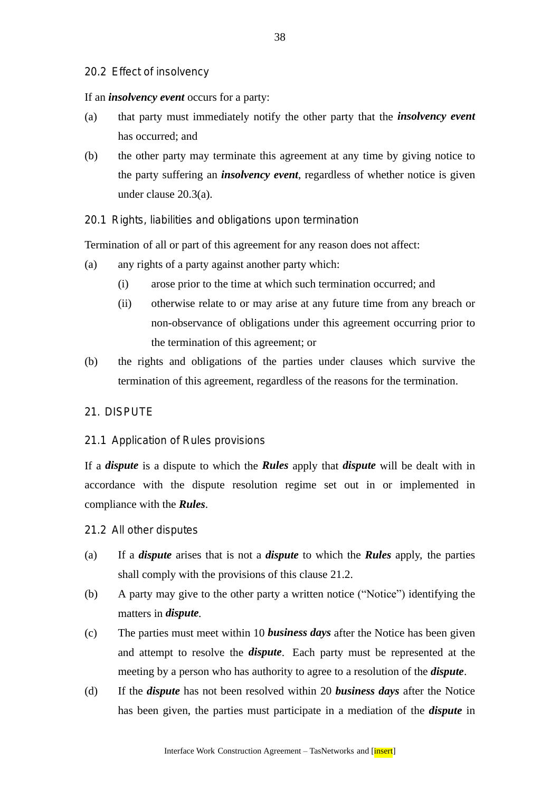## 20.2 Effect of insolvency

If an *insolvency event* occurs for a party:

- (a) that party must immediately notify the other party that the *insolvency event* has occurred; and
- (b) the other party may terminate this agreement at any time by giving notice to the party suffering an *insolvency event*, regardless of whether notice is given under clause 20.3(a).
- 20.1 Rights, liabilities and obligations upon termination

Termination of all or part of this agreement for any reason does not affect:

- (a) any rights of a party against another party which:
	- (i) arose prior to the time at which such termination occurred; and
	- (ii) otherwise relate to or may arise at any future time from any breach or non-observance of obligations under this agreement occurring prior to the termination of this agreement; or
- (b) the rights and obligations of the parties under clauses which survive the termination of this agreement, regardless of the reasons for the termination.

#### 21. DISPUTE

#### 21.1 Application of Rules provisions

If a *dispute* is a dispute to which the *Rules* apply that *dispute* will be dealt with in accordance with the dispute resolution regime set out in or implemented in compliance with the *Rules*.

- 21.2 All other disputes
- (a) If a *dispute* arises that is not a *dispute* to which the *Rules* apply, the parties shall comply with the provisions of this clause 21.2.
- (b) A party may give to the other party a written notice ("Notice") identifying the matters in *dispute.*
- (c) The parties must meet within 10 *business days* after the Notice has been given and attempt to resolve the *dispute*. Each party must be represented at the meeting by a person who has authority to agree to a resolution of the *dispute*.
- (d) If the *dispute* has not been resolved within 20 *business days* after the Notice has been given, the parties must participate in a mediation of the *dispute* in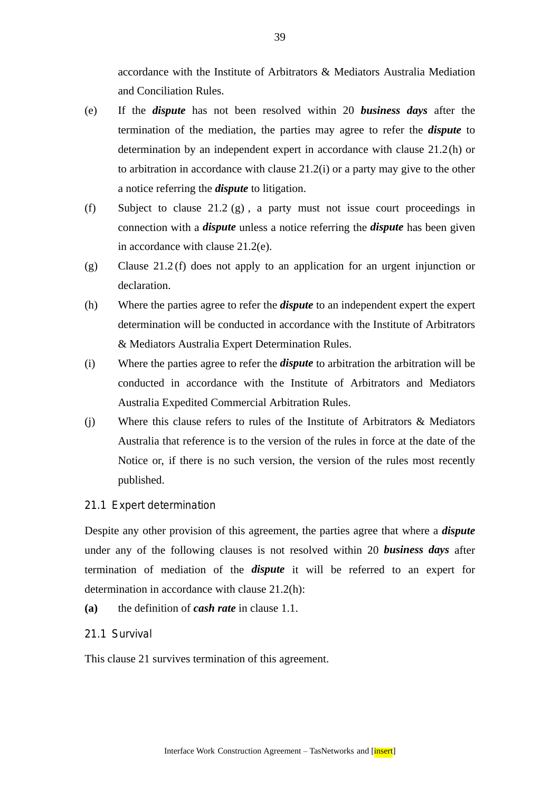accordance with the Institute of Arbitrators & Mediators Australia Mediation and Conciliation Rules.

- (e) If the *dispute* has not been resolved within 20 *business days* after the termination of the mediation, the parties may agree to refer the *dispute* to determination by an independent expert in accordance with clause 21.2(h) or to arbitration in accordance with clause 21.2(i) or a party may give to the other a notice referring the *dispute* to litigation.
- (f) Subject to clause 21.2 (g) , a party must not issue court proceedings in connection with a *dispute* unless a notice referring the *dispute* has been given in accordance with clause 21.2(e).
- (g) Clause 21.2 (f) does not apply to an application for an urgent injunction or declaration.
- (h) Where the parties agree to refer the *dispute* to an independent expert the expert determination will be conducted in accordance with the Institute of Arbitrators & Mediators Australia Expert Determination Rules.
- (i) Where the parties agree to refer the *dispute* to arbitration the arbitration will be conducted in accordance with the Institute of Arbitrators and Mediators Australia Expedited Commercial Arbitration Rules.
- (j) Where this clause refers to rules of the Institute of Arbitrators & Mediators Australia that reference is to the version of the rules in force at the date of the Notice or, if there is no such version, the version of the rules most recently published.

## 21.1 Expert determination

Despite any other provision of this agreement, the parties agree that where a *dispute* under any of the following clauses is not resolved within 20 *business days* after termination of mediation of the *dispute* it will be referred to an expert for determination in accordance with clause 21.2(h):

**(a)** the definition of *cash rate* in clause 1.1.

## 21.1 Survival

This clause 21 survives termination of this agreement.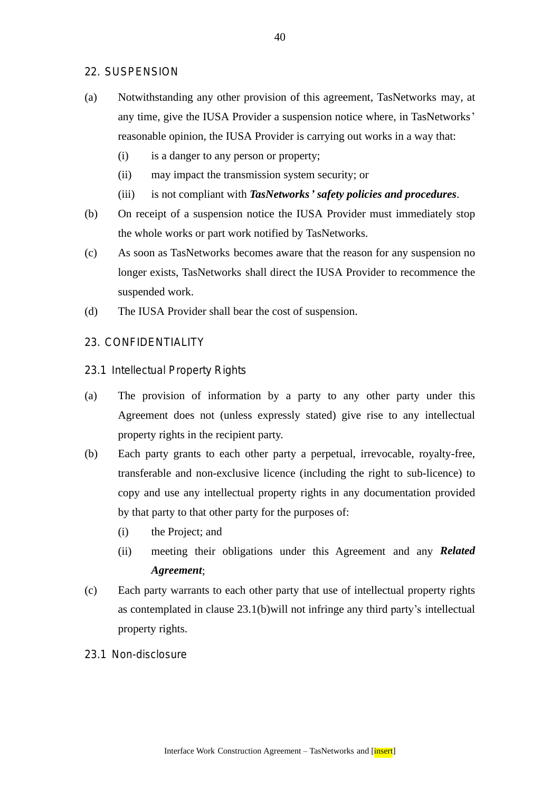## 22. SUSPENSION

- (a) Notwithstanding any other provision of this agreement, TasNetworks may, at any time, give the IUSA Provider a suspension notice where, in TasNetworks' reasonable opinion, the IUSA Provider is carrying out works in a way that:
	- (i) is a danger to any person or property;
	- (ii) may impact the transmission system security; or
	- (iii) is not compliant with *TasNetworks' safety policies and procedures*.
- (b) On receipt of a suspension notice the IUSA Provider must immediately stop the whole works or part work notified by TasNetworks.
- (c) As soon as TasNetworks becomes aware that the reason for any suspension no longer exists, TasNetworks shall direct the IUSA Provider to recommence the suspended work.
- (d) The IUSA Provider shall bear the cost of suspension.
- 23. CONFIDENTIALITY
- 23.1 Intellectual Property Rights
- (a) The provision of information by a party to any other party under this Agreement does not (unless expressly stated) give rise to any intellectual property rights in the recipient party.
- (b) Each party grants to each other party a perpetual, irrevocable, royalty-free, transferable and non-exclusive licence (including the right to sub-licence) to copy and use any intellectual property rights in any documentation provided by that party to that other party for the purposes of:
	- (i) the Project; and
	- (ii) meeting their obligations under this Agreement and any *Related Agreement*;
- (c) Each party warrants to each other party that use of intellectual property rights as contemplated in clause 23.1(b)will not infringe any third party's intellectual property rights.
- 23.1 Non-disclosure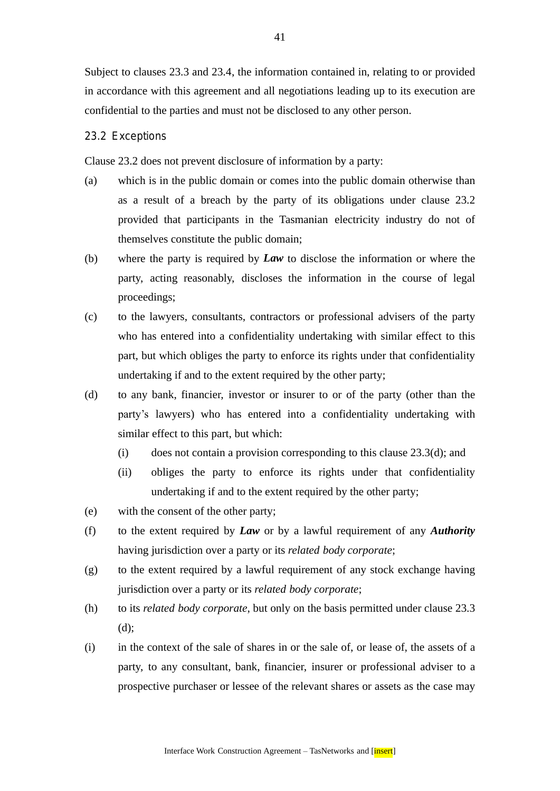Subject to clauses 23.3 and 23.4, the information contained in, relating to or provided in accordance with this agreement and all negotiations leading up to its execution are confidential to the parties and must not be disclosed to any other person.

#### 23.2 Exceptions

Clause 23.2 does not prevent disclosure of information by a party:

- (a) which is in the public domain or comes into the public domain otherwise than as a result of a breach by the party of its obligations under clause 23.2 provided that participants in the Tasmanian electricity industry do not of themselves constitute the public domain;
- (b) where the party is required by *Law* to disclose the information or where the party, acting reasonably, discloses the information in the course of legal proceedings;
- (c) to the lawyers, consultants, contractors or professional advisers of the party who has entered into a confidentiality undertaking with similar effect to this part, but which obliges the party to enforce its rights under that confidentiality undertaking if and to the extent required by the other party;
- (d) to any bank, financier, investor or insurer to or of the party (other than the party's lawyers) who has entered into a confidentiality undertaking with similar effect to this part, but which:
	- (i) does not contain a provision corresponding to this clause 23.3(d); and
	- (ii) obliges the party to enforce its rights under that confidentiality undertaking if and to the extent required by the other party;
- (e) with the consent of the other party;
- (f) to the extent required by *Law* or by a lawful requirement of any *Authority* having jurisdiction over a party or its *related body corporate*;
- (g) to the extent required by a lawful requirement of any stock exchange having jurisdiction over a party or its *related body corporate*;
- (h) to its *related body corporate*, but only on the basis permitted under clause 23.3 (d);
- (i) in the context of the sale of shares in or the sale of, or lease of, the assets of a party, to any consultant, bank, financier, insurer or professional adviser to a prospective purchaser or lessee of the relevant shares or assets as the case may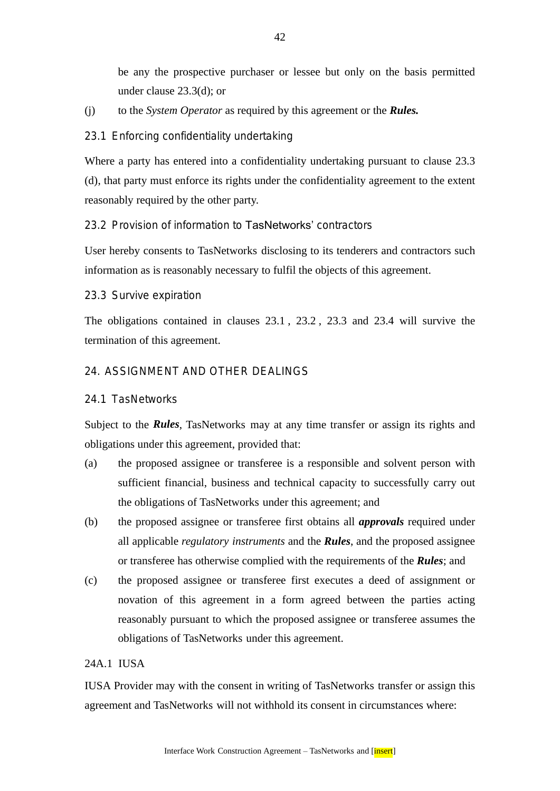be any the prospective purchaser or lessee but only on the basis permitted under clause 23.3(d); or

(j) to the *System Operator* as required by this agreement or the *Rules.*

## 23.1 Enforcing confidentiality undertaking

Where a party has entered into a confidentiality undertaking pursuant to clause 23.3 (d), that party must enforce its rights under the confidentiality agreement to the extent reasonably required by the other party.

## 23.2 Provision of information to TasNetworks' contractors

User hereby consents to TasNetworks disclosing to its tenderers and contractors such information as is reasonably necessary to fulfil the objects of this agreement.

#### 23.3 Survive expiration

The obligations contained in clauses 23.1 , 23.2 , 23.3 and 23.4 will survive the termination of this agreement.

## 24. ASSIGNMENT AND OTHER DEALINGS

## 24.1 TasNetworks

Subject to the *Rules*, TasNetworks may at any time transfer or assign its rights and obligations under this agreement, provided that:

- (a) the proposed assignee or transferee is a responsible and solvent person with sufficient financial, business and technical capacity to successfully carry out the obligations of TasNetworks under this agreement; and
- (b) the proposed assignee or transferee first obtains all *approvals* required under all applicable *regulatory instruments* and the *Rules*, and the proposed assignee or transferee has otherwise complied with the requirements of the *Rules*; and
- (c) the proposed assignee or transferee first executes a deed of assignment or novation of this agreement in a form agreed between the parties acting reasonably pursuant to which the proposed assignee or transferee assumes the obligations of TasNetworks under this agreement.

# 24A.1 IUSA

IUSA Provider may with the consent in writing of TasNetworks transfer or assign this agreement and TasNetworks will not withhold its consent in circumstances where: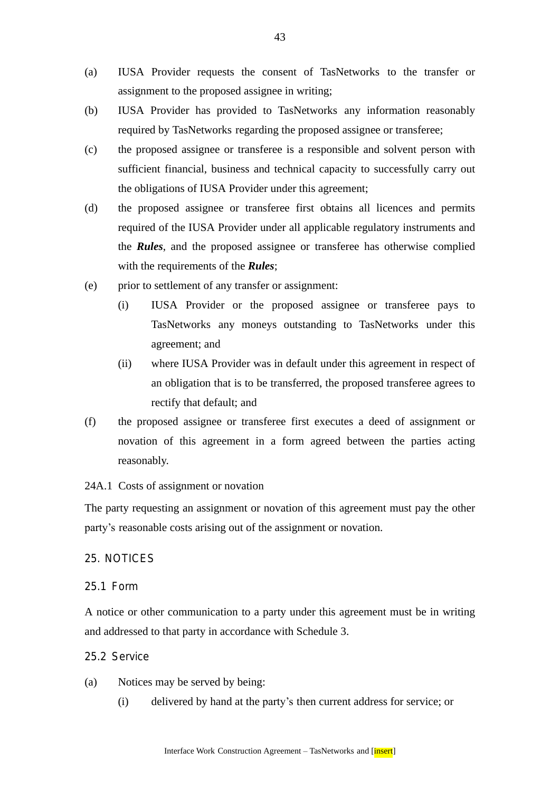- (a) IUSA Provider requests the consent of TasNetworks to the transfer or assignment to the proposed assignee in writing;
- (b) IUSA Provider has provided to TasNetworks any information reasonably required by TasNetworks regarding the proposed assignee or transferee;
- (c) the proposed assignee or transferee is a responsible and solvent person with sufficient financial, business and technical capacity to successfully carry out the obligations of IUSA Provider under this agreement;
- (d) the proposed assignee or transferee first obtains all licences and permits required of the IUSA Provider under all applicable regulatory instruments and the *Rules*, and the proposed assignee or transferee has otherwise complied with the requirements of the *Rules*;
- (e) prior to settlement of any transfer or assignment:
	- (i) IUSA Provider or the proposed assignee or transferee pays to TasNetworks any moneys outstanding to TasNetworks under this agreement; and
	- (ii) where IUSA Provider was in default under this agreement in respect of an obligation that is to be transferred, the proposed transferee agrees to rectify that default; and
- (f) the proposed assignee or transferee first executes a deed of assignment or novation of this agreement in a form agreed between the parties acting reasonably.

#### 24A.1 Costs of assignment or novation

The party requesting an assignment or novation of this agreement must pay the other party's reasonable costs arising out of the assignment or novation.

#### 25. NOTICES

#### 25.1 Form

A notice or other communication to a party under this agreement must be in writing and addressed to that party in accordance with Schedule 3.

#### 25.2 Service

- (a) Notices may be served by being:
	- (i) delivered by hand at the party's then current address for service; or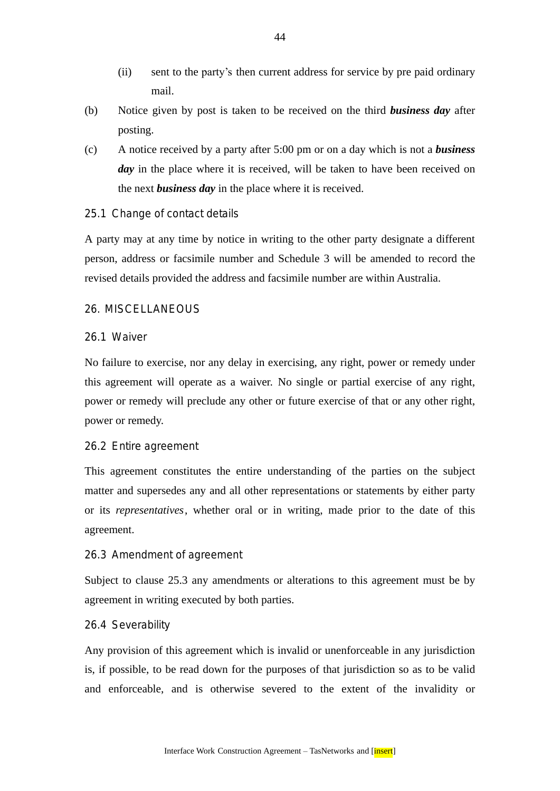- (ii) sent to the party's then current address for service by pre paid ordinary mail.
- (b) Notice given by post is taken to be received on the third *business day* after posting.
- (c) A notice received by a party after 5:00 pm or on a day which is not a *business day* in the place where it is received, will be taken to have been received on the next *business day* in the place where it is received.
- 25.1 Change of contact details

A party may at any time by notice in writing to the other party designate a different person, address or facsimile number and Schedule 3 will be amended to record the revised details provided the address and facsimile number are within Australia.

## 26. MISCELLANEOUS

#### 26.1 Waiver

No failure to exercise, nor any delay in exercising, any right, power or remedy under this agreement will operate as a waiver. No single or partial exercise of any right, power or remedy will preclude any other or future exercise of that or any other right, power or remedy.

#### 26.2 Entire agreement

This agreement constitutes the entire understanding of the parties on the subject matter and supersedes any and all other representations or statements by either party or its *representatives*, whether oral or in writing, made prior to the date of this agreement.

#### 26.3 Amendment of agreement

Subject to clause 25.3 any amendments or alterations to this agreement must be by agreement in writing executed by both parties.

#### 26.4 Severability

Any provision of this agreement which is invalid or unenforceable in any jurisdiction is, if possible, to be read down for the purposes of that jurisdiction so as to be valid and enforceable, and is otherwise severed to the extent of the invalidity or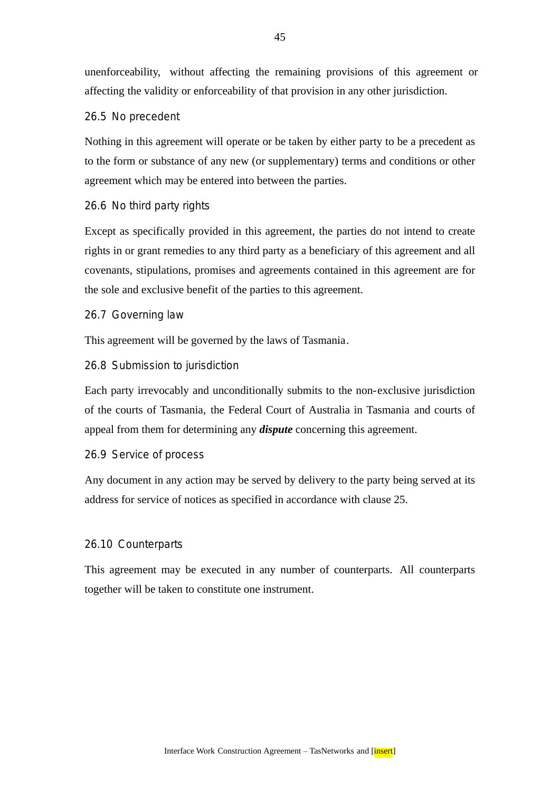unenforceability, without affecting the remaining provisions of this agreement or affecting the validity or enforceability of that provision in any other jurisdiction.

## 26.5 No precedent

Nothing in this agreement will operate or be taken by either party to be a precedent as to the form or substance of any new (or supplementary) terms and conditions or other agreement which may be entered into between the parties.

## 26.6 No third party rights

Except as specifically provided in this agreement, the parties do not intend to create rights in or grant remedies to any third party as a beneficiary of this agreement and all covenants, stipulations, promises and agreements contained in this agreement are for the sole and exclusive benefit of the parties to this agreement.

#### 26.7 Governing law

This agreement will be governed by the laws of Tasmania.

## 26.8 Submission to jurisdiction

Each party irrevocably and unconditionally submits to the non-exclusive jurisdiction of the courts of Tasmania, the Federal Court of Australia in Tasmania and courts of appeal from them for determining any *dispute* concerning this agreement.

#### 26.9 Service of process

Any document in any action may be served by delivery to the party being served at its address for service of notices as specified in accordance with clause 25.

#### 26.10 Counterparts

This agreement may be executed in any number of counterparts. All counterparts together will be taken to constitute one instrument.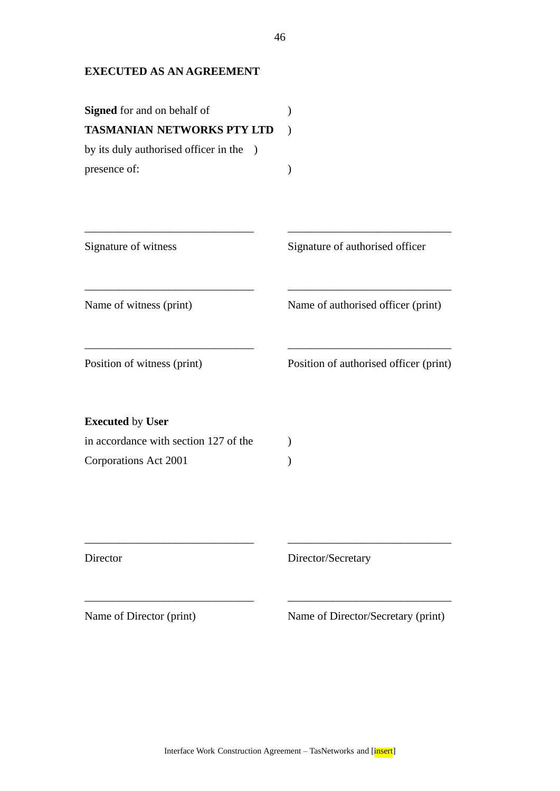# **EXECUTED AS AN AGREEMENT**

| <b>Signed</b> for and on behalf of<br><b>TASMANIAN NETWORKS PTY LTD</b><br>by its duly authorised officer in the<br>$\lambda$<br>presence of: |                                        |
|-----------------------------------------------------------------------------------------------------------------------------------------------|----------------------------------------|
| Signature of witness                                                                                                                          | Signature of authorised officer        |
| Name of witness (print)                                                                                                                       | Name of authorised officer (print)     |
| Position of witness (print)                                                                                                                   | Position of authorised officer (print) |
| <b>Executed by User</b>                                                                                                                       |                                        |
| in accordance with section 127 of the                                                                                                         |                                        |
| Corporations Act 2001                                                                                                                         |                                        |
|                                                                                                                                               |                                        |
| Director                                                                                                                                      | Director/Secretary                     |
| Name of Director (print)                                                                                                                      | Name of Director/Secretary (print)     |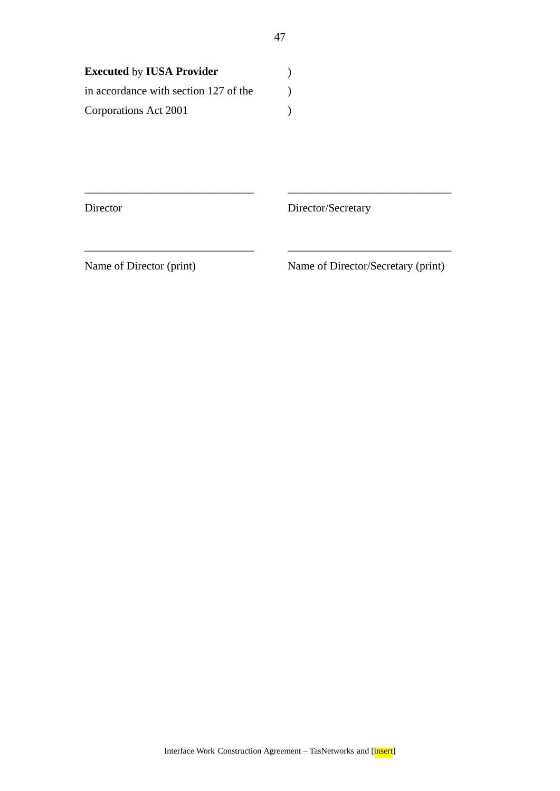| <b>Executed by IUSA Provider</b>      |  |
|---------------------------------------|--|
| in accordance with section 127 of the |  |
| Corporations Act 2001                 |  |

Director Director/Secretary

Name of Director (print) Name of Director/Secretary (print)

\_\_\_\_\_\_\_\_\_\_\_\_\_\_\_\_\_\_\_\_\_\_\_\_\_\_\_\_\_\_ \_\_\_\_\_\_\_\_\_\_\_\_\_\_\_\_\_\_\_\_\_\_\_\_\_\_\_\_\_

\_\_\_\_\_\_\_\_\_\_\_\_\_\_\_\_\_\_\_\_\_\_\_\_\_\_\_\_\_\_ \_\_\_\_\_\_\_\_\_\_\_\_\_\_\_\_\_\_\_\_\_\_\_\_\_\_\_\_\_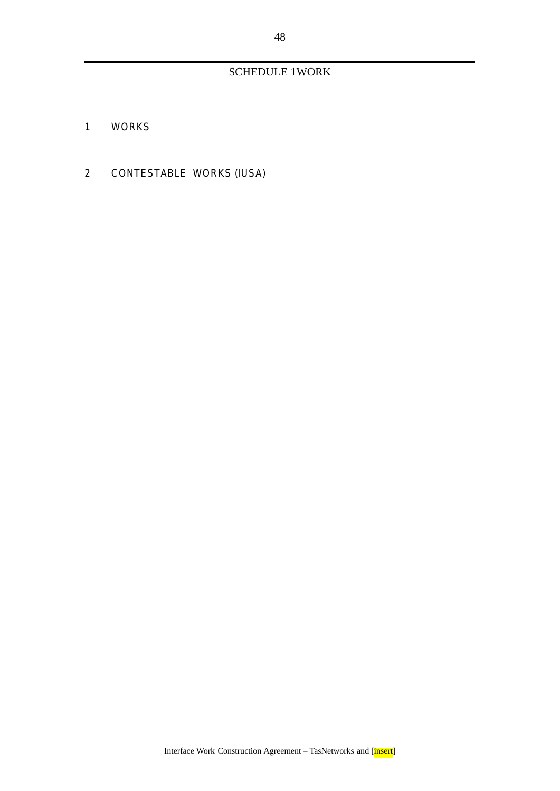# SCHEDULE 1WORK

- 1 WORKS
- 2 CONTESTABLE WORKS (IUSA)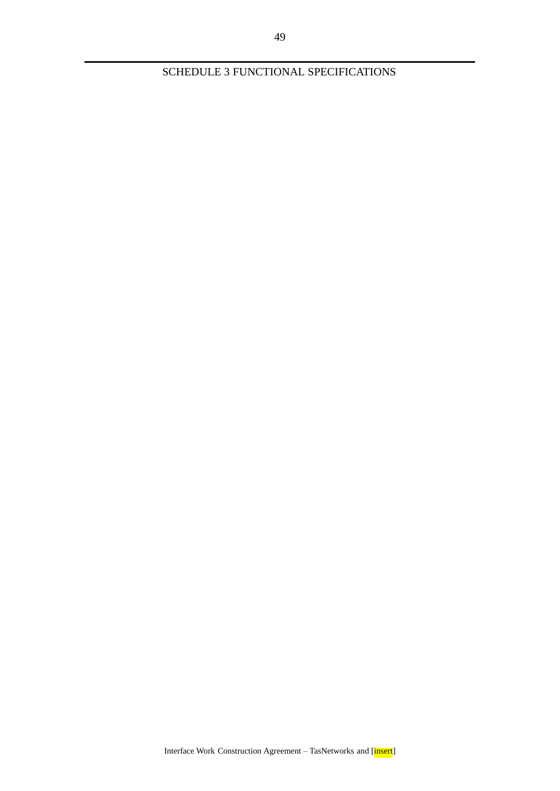SCHEDULE 3 FUNCTIONAL SPECIFICATIONS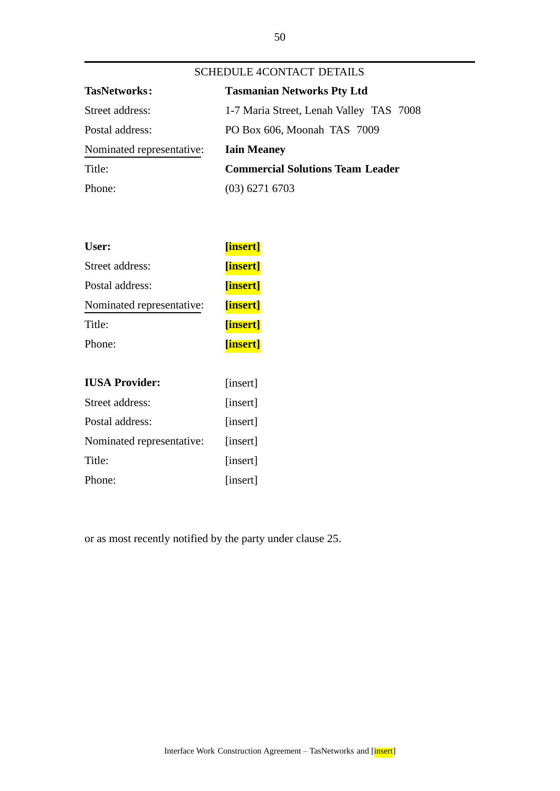| <b>SCHEDULE 4CONTACT DETAILS</b> |                                         |  |  |
|----------------------------------|-----------------------------------------|--|--|
| <b>TasNetworks:</b>              | <b>Tasmanian Networks Pty Ltd</b>       |  |  |
| Street address:                  | 1-7 Maria Street, Lenah Valley TAS 7008 |  |  |
| Postal address:                  | PO Box 606, Moonah TAS 7009             |  |  |
| Nominated representative:        | <b>Iain Meaney</b>                      |  |  |
| Title:                           | <b>Commercial Solutions Team Leader</b> |  |  |
| Phone:                           | $(03)$ 6271 6703                        |  |  |

| User:                     | [insert]       |  |
|---------------------------|----------------|--|
| Street address:           | [insert]       |  |
| Postal address:           | <b>finsert</b> |  |
| Nominated representative: | <b>finsert</b> |  |
| Title:                    | [insert]       |  |
| Phone:                    | [insert]       |  |

| <b>IUSA Provider:</b>     | [insert] |  |
|---------------------------|----------|--|
| Street address:           | [insert] |  |
| Postal address:           | [insert] |  |
| Nominated representative: | [insert] |  |
| Title:                    | [insert] |  |
| Phone:                    | [insert] |  |

or as most recently notified by the party under clause 25.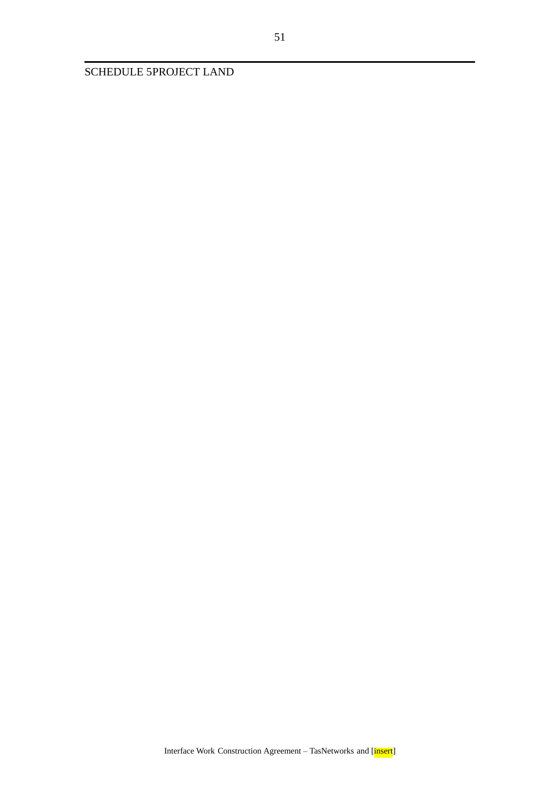SCHEDULE 5PROJECT LAND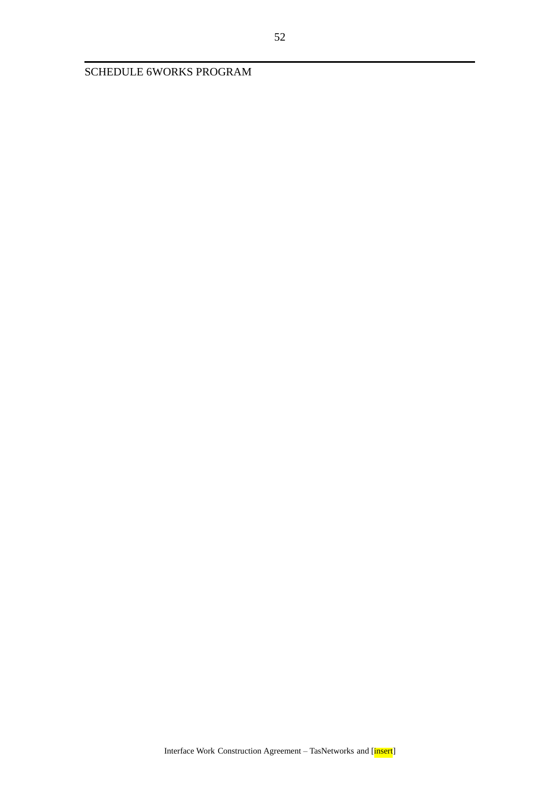SCHEDULE 6WORKS PROGRAM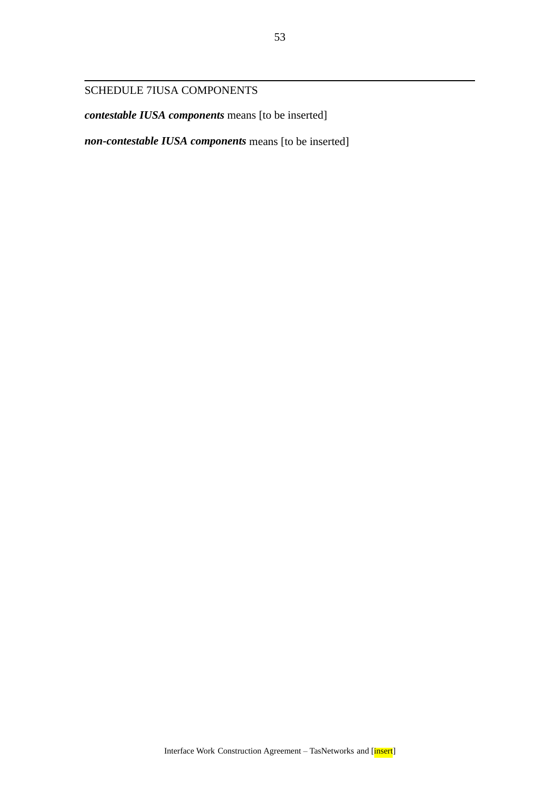# SCHEDULE 7IUSA COMPONENTS

*contestable IUSA components* means [to be inserted]

*non-contestable IUSA components* means [to be inserted]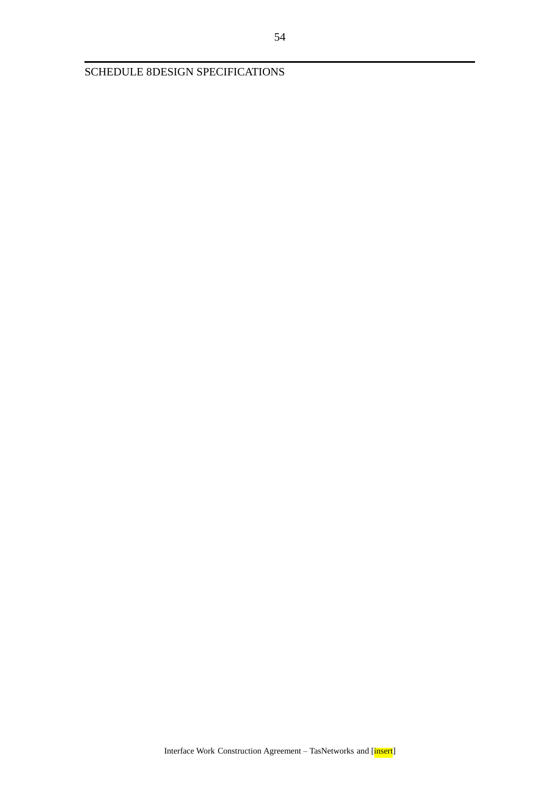SCHEDULE 8DESIGN SPECIFICATIONS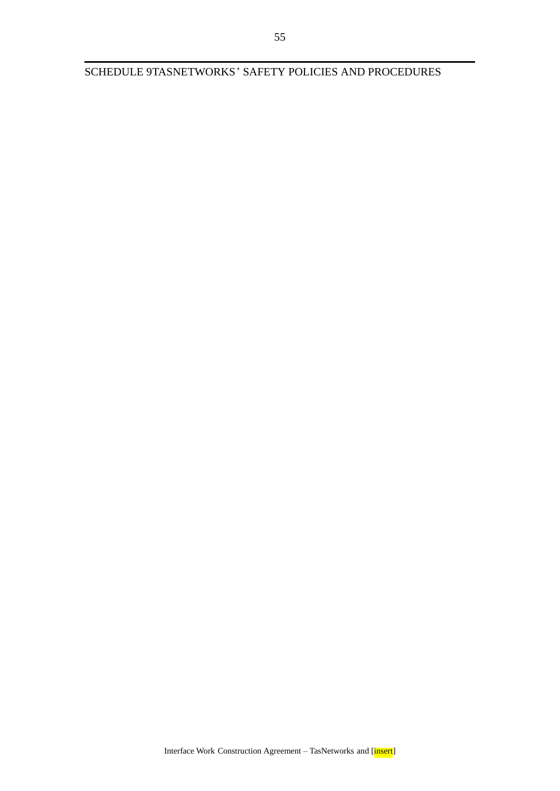SCHEDULE 9TASNETWORKS' SAFETY POLICIES AND PROCEDURES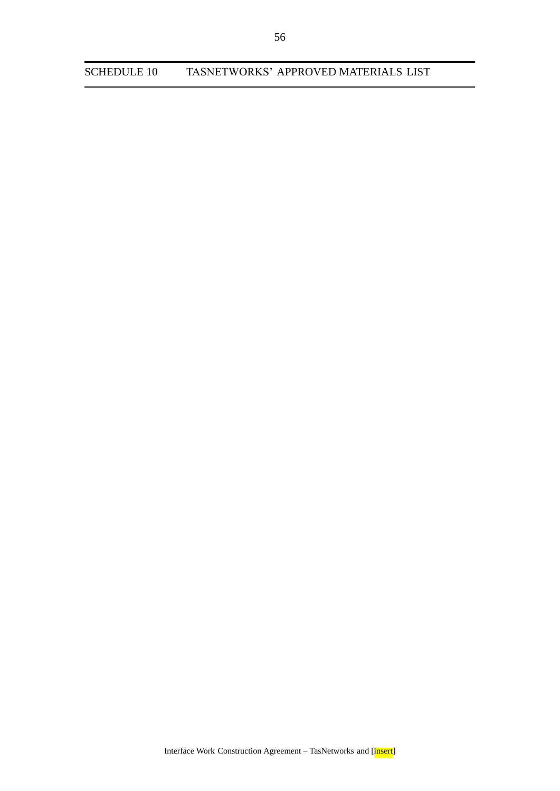SCHEDULE 10 TASNETWORKS' APPROVED MATERIALS LIST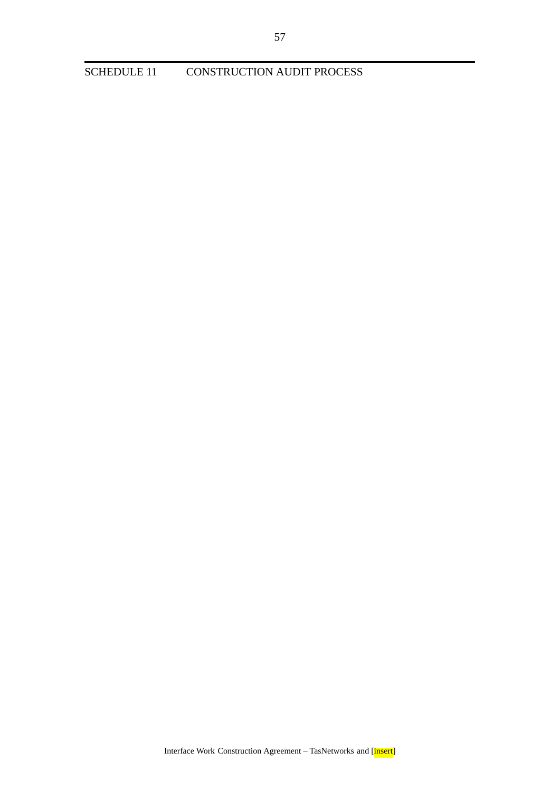CONSTRUCTION AUDIT PROCESS **SCHEDULE 11**